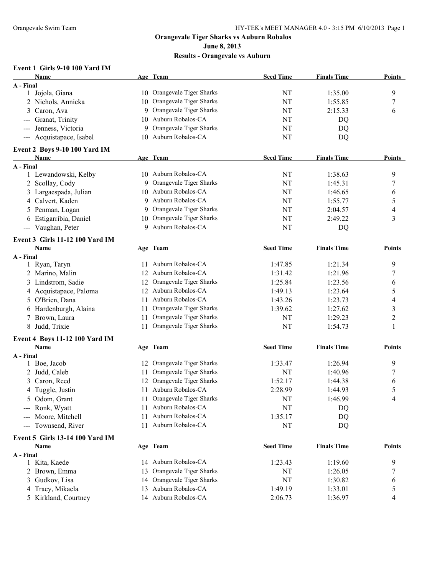#### **June 8, 2013**

**Results - Orangevale vs Auburn**

### **Event 1 Girls 9-10 100 Yard IM**

| Name                            |    | Age Team                   | <b>Seed Time</b> | <b>Finals Time</b> | <b>Points</b>  |
|---------------------------------|----|----------------------------|------------------|--------------------|----------------|
| A - Final                       |    |                            |                  |                    |                |
| 1 Jojola, Giana                 |    | 10 Orangevale Tiger Sharks | NT               | 1:35.00            | 9              |
| 2 Nichols, Annicka              | 10 | Orangevale Tiger Sharks    | NT               | 1:55.85            | 7              |
| Caron, Ava<br>3                 | 9  | Orangevale Tiger Sharks    | NT               | 2:15.33            | 6              |
| Granat, Trinity                 |    | 10 Auburn Robalos-CA       | NT               | DQ                 |                |
| Jenness, Victoria               | 9  | Orangevale Tiger Sharks    | NT               | DQ                 |                |
| --- Acquistapace, Isabel        | 10 | Auburn Robalos-CA          | NT               | DQ                 |                |
| Event 2 Boys 9-10 100 Yard IM   |    |                            |                  |                    |                |
| Name                            |    | Age Team                   | <b>Seed Time</b> | <b>Finals Time</b> | <b>Points</b>  |
| A - Final                       |    |                            |                  |                    |                |
| 1 Lewandowski, Kelby            |    | 10 Auburn Robalos-CA       | <b>NT</b>        | 1:38.63            | 9              |
| 2 Scollay, Cody                 |    | 9 Orangevale Tiger Sharks  | NT               | 1:45.31            | 7              |
| 3 Largaespada, Julian           |    | 10 Auburn Robalos-CA       | NT               | 1:46.65            | 6              |
| 4 Calvert, Kaden                | 9  | Auburn Robalos-CA          | NT               | 1:55.77            | 5              |
| 5 Penman, Logan                 | 9  | Orangevale Tiger Sharks    | NT               | 2:04.57            | 4              |
| 6 Estigarribia, Daniel          | 10 | Orangevale Tiger Sharks    | NT               | 2:49.22            | 3              |
| --- Vaughan, Peter              |    | 9 Auburn Robalos-CA        | NT               | DQ                 |                |
|                                 |    |                            |                  |                    |                |
| Event 3 Girls 11-12 100 Yard IM |    |                            |                  |                    |                |
| Name                            |    | Age Team                   | <b>Seed Time</b> | <b>Finals Time</b> | <b>Points</b>  |
| A - Final                       |    | 11 Auburn Robalos-CA       | 1:47.85          | 1:21.34            | 9              |
| 1 Ryan, Taryn                   |    |                            |                  | 1:21.96            |                |
| 2 Marino, Malin                 |    | 12 Auburn Robalos-CA       | 1:31.42          |                    | 7              |
| 3 Lindstrom, Sadie              |    | 12 Orangevale Tiger Sharks | 1:25.84          | 1:23.56            | 6              |
| 4 Acquistapace, Paloma          |    | 12 Auburn Robalos-CA       | 1:49.13          | 1:23.64            | 5              |
| 5 O'Brien, Dana                 |    | 11 Auburn Robalos-CA       | 1:43.26          | 1:23.73            | 4              |
| 6 Hardenburgh, Alaina           | 11 | Orangevale Tiger Sharks    | 1:39.62          | 1:27.62            | 3              |
| Brown, Laura<br>7               | 11 | Orangevale Tiger Sharks    | NT               | 1:29.23            | $\overline{2}$ |
| Judd, Trixie<br>8               | 11 | Orangevale Tiger Sharks    | NT               | 1:54.73            | 1              |
| Event 4 Boys 11-12 100 Yard IM  |    |                            |                  |                    |                |
| Name                            |    | Age Team                   | <b>Seed Time</b> | <b>Finals Time</b> | Points         |
| A - Final                       |    |                            |                  |                    |                |
| 1 Boe, Jacob                    |    | 12 Orangevale Tiger Sharks | 1:33.47          | 1:26.94            | 9              |
| 2 Judd, Caleb                   | 11 | Orangevale Tiger Sharks    | NT               | 1:40.96            | 7              |
| Caron, Reed<br>3                | 12 | Orangevale Tiger Sharks    | 1:52.17          | 1:44.38            | 6              |
| 4 Tuggle, Justin                |    | 11 Auburn Robalos-CA       | 2:28.99          | 1:44.93            | 5              |
| 5 Odom, Grant                   |    | 11 Orangevale Tiger Sharks | NT               | 1:46.99            | 4              |
| --- Ronk, Wyatt                 |    | 11 Auburn Robalos-CA       | NT               | DQ                 |                |
| --- Moore, Mitchell             |    | 11 Auburn Robalos-CA       | 1:35.17          | DQ                 |                |
| --- Townsend, River             |    | 11 Auburn Robalos-CA       | NT               | DQ                 |                |
| Event 5 Girls 13-14 100 Yard IM |    |                            |                  |                    |                |
| Name                            |    | Age Team                   | <b>Seed Time</b> | <b>Finals Time</b> | <b>Points</b>  |
| A - Final                       |    |                            |                  |                    |                |
| 1 Kita, Kaede                   |    | 14 Auburn Robalos-CA       | 1:23.43          | 1:19.60            | 9              |
| 2 Brown, Emma                   | 13 | Orangevale Tiger Sharks    | NT               | 1:26.05            | 7              |
| 3 Gudkov, Lisa                  |    | 14 Orangevale Tiger Sharks | NT               | 1:30.82            | 6              |
| 4 Tracy, Mikaela                |    | 13 Auburn Robalos-CA       | 1:49.19          | 1:33.01            | 5              |
| 5 Kirkland, Courtney            |    | 14 Auburn Robalos-CA       | 2:06.73          | 1:36.97            | 4              |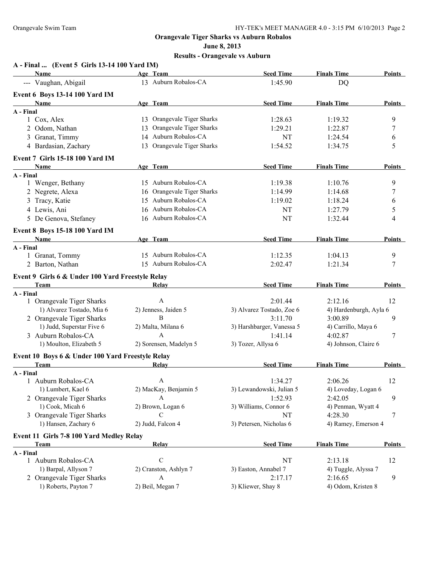**June 8, 2013**

| A - Final  (Event 5 Girls 13-14 100 Yard IM)     |                            |                           |                        |               |
|--------------------------------------------------|----------------------------|---------------------------|------------------------|---------------|
| Name                                             | Age Team                   | <b>Seed Time</b>          | <b>Finals Time</b>     | Points        |
| --- Vaughan, Abigail                             | 13 Auburn Robalos-CA       | 1:45.90                   | DQ                     |               |
| Event 6 Boys 13-14 100 Yard IM                   |                            |                           |                        |               |
| Name                                             | Age Team                   | <b>Seed Time</b>          | <b>Finals Time</b>     | Points        |
| A - Final                                        |                            |                           |                        |               |
| 1 Cox, Alex                                      | 13 Orangevale Tiger Sharks | 1:28.63                   | 1:19.32                | 9             |
| 2 Odom, Nathan                                   | 13 Orangevale Tiger Sharks | 1:29.21                   | 1:22.87                | 7             |
| 3 Granat, Timmy                                  | 14 Auburn Robalos-CA       | NT                        | 1:24.54                | 6             |
| 4 Bardasian, Zachary                             | 13 Orangevale Tiger Sharks | 1:54.52                   | 1:34.75                | 5             |
| Event 7 Girls 15-18 100 Yard IM                  |                            |                           |                        |               |
| <b>Name</b>                                      | Age Team                   | <b>Seed Time</b>          | <b>Finals Time</b>     | <b>Points</b> |
| A - Final                                        |                            |                           |                        |               |
| 1 Wenger, Bethany                                | 15 Auburn Robalos-CA       | 1:19.38                   | 1:10.76                | 9             |
| 2 Negrete, Alexa                                 | 16 Orangevale Tiger Sharks | 1:14.99                   | 1:14.68                | 7             |
| 3 Tracy, Katie                                   | 15 Auburn Robalos-CA       | 1:19.02                   | 1:18.24                | 6             |
| 4 Lewis, Ani                                     | 16 Auburn Robalos-CA       | NT                        | 1:27.79                | 5             |
| 5 De Genova, Stefaney                            | 16 Auburn Robalos-CA       | NT                        | 1:32.44                | 4             |
| <b>Event 8 Boys 15-18 100 Yard IM</b>            |                            |                           |                        |               |
| Name                                             | Age Team                   | <b>Seed Time</b>          | <b>Finals Time</b>     | Points        |
| A - Final                                        |                            |                           |                        |               |
| 1 Granat, Tommy                                  | 15 Auburn Robalos-CA       | 1:12.35                   | 1:04.13                | 9             |
| 2 Barton, Nathan                                 | 15 Auburn Robalos-CA       | 2:02.47                   | 1:21.34                | 7             |
| Event 9 Girls 6 & Under 100 Yard Freestyle Relay |                            |                           |                        |               |
| <b>Team</b>                                      | Relay                      | <b>Seed Time</b>          | <b>Finals Time</b>     | Points        |
| A - Final                                        |                            |                           |                        |               |
| 1 Orangevale Tiger Sharks                        | A                          | 2:01.44                   | 2:12.16                | 12            |
| 1) Alvarez Tostado, Mia 6                        | 2) Jenness, Jaiden 5       | 3) Alvarez Tostado, Zoe 6 | 4) Hardenburgh, Ayla 6 |               |
| 2 Orangevale Tiger Sharks                        | B                          | 3:11.70                   | 3:00.89                | 9             |
| 1) Judd, Superstar Five 6                        | 2) Malta, Milana 6         | 3) Harshbarger, Vanessa 5 | 4) Carrillo, Maya 6    |               |
| 3 Auburn Robalos-CA                              | $\mathsf{A}$               | 1:41.14                   | 4:02.87                | 7             |
| 1) Moulton, Elizabeth 5                          | 2) Sorensen, Madelyn 5     | 3) Tozer, Allysa 6        | 4) Johnson, Claire 6   |               |
| Event 10 Boys 6 & Under 100 Yard Freestyle Relay |                            |                           |                        |               |
| <b>Team</b>                                      | Relay                      | <b>Seed Time</b>          | <b>Finals Time</b>     | <b>Points</b> |
| A - Final                                        |                            |                           |                        |               |
| 1 Auburn Robalos-CA                              | A                          | 1:34.27                   | 2:06.26                | 12            |
| 1) Lumbert, Kael 6                               | 2) MacKay, Benjamin 5      | 3) Lewandowski, Julian 5  | 4) Loveday, Logan 6    |               |
| 2 Orangevale Tiger Sharks                        | A                          | 1:52.93                   | 2:42.05                | 9             |
| 1) Cook, Micah 6                                 | 2) Brown, Logan 6          | 3) Williams, Connor 6     | 4) Penman, Wyatt 4     |               |
| 3 Orangevale Tiger Sharks                        | C                          | NT                        | 4:28.30                | 7             |
| 1) Hansen, Zachary 6                             | 2) Judd, Falcon 4          | 3) Petersen, Nicholas 6   | 4) Ramey, Emerson 4    |               |
| Event 11 Girls 7-8 100 Yard Medley Relay         |                            |                           |                        |               |
| Team                                             | Relay                      | <b>Seed Time</b>          | <b>Finals Time</b>     | <b>Points</b> |
| A - Final                                        |                            |                           |                        |               |
| 1 Auburn Robalos-CA                              | $\mathbf C$                | NT                        | 2:13.18                | 12            |
| 1) Barpal, Allyson 7                             | 2) Cranston, Ashlyn 7      | 3) Easton, Annabel 7      | 4) Tuggle, Alyssa 7    |               |
| 2 Orangevale Tiger Sharks                        | A                          | 2:17.17                   | 2:16.65                | 9             |
| 1) Roberts, Payton 7                             | 2) Beil, Megan 7           | 3) Kliewer, Shay 8        | 4) Odom, Kristen 8     |               |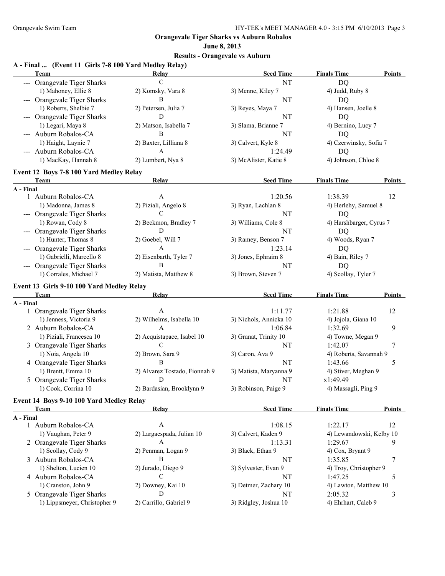#### **June 8, 2013**

#### **Results - Orangevale vs Auburn**

#### **A - Final ... (Event 11 Girls 7-8 100 Yard Medley Relay) Team Relay Seed Time Finals Time Points** --- Orangevale Tiger Sharks C C NT NT DO 1) Mahoney, Ellie 8 2) Komsky, Vara 8 3) Menne, Kiley 7 4) Judd, Ruby 8 --- Orangevale Tiger Sharks B NT DO 1) Roberts, Shelbie 7 2) Petersen, Julia 7 3) Reyes, Maya 7 4) Hansen, Joelle 8 --- Orangevale Tiger Sharks D D NT NT DQ 1) Legari, Maya 8 2) Matson, Isabella 7 3) Slama, Brianne 7 4) Bernino, Lucy 7 --- Auburn Robalos-CA B NT DO 1) Haight, Laynie 7 2) Baxter, Lilliana 8 3) Calvert, Kyle 8 4) Czerwinsky, Sofia 7 --- Auburn Robalos-CA A 1:24.49 DQ 1) MacKay, Hannah 8 2) Lumbert, Nya 8 3) McAlister, Katie 8 4) Johnson, Chloe 8 **Event 12 Boys 7-8 100 Yard Medley Relay Team Relay Relay Seed Time Finals Time Points A - Final** 1 Auburn Robalos-CA A 1:20.56 1:38.39 12 1) Madonna, James 8 2) Piziali, Angelo 8 3) Ryan, Lachlan 8 4) Herlehy, Samuel 8 --- Orangevale Tiger Sharks C C NT NT DQ 1) Rowan, Cody 8 2) Beckmon, Bradley 7 3) Williams, Cole 8 4) Harshbarger, Cyrus 7 --- Orangevale Tiger Sharks D D NT DQ 1) Hunter, Thomas 8 2) Goebel, Will 7 3) Ramey, Benson 7 4) Woods, Ryan 7 --- Orangevale Tiger Sharks A 1:23.14 DQ 1) Gabrielli, Marcello 8 2) Eisenbarth, Tyler 7 3) Jones, Ephraim 8 4) Bain, Riley 7 --- Orangevale Tiger Sharks B NT DQ 1) Corrales, Michael 7 2) Matista, Matthew 8 3) Brown, Steven 7 4) Scollay, Tyler 7 **Event 13 Girls 9-10 100 Yard Medley Relay Team Relay Seed Time Finals Time Points A - Final** 1 Orangevale Tiger Sharks A 1:11.77 1:21.88 12 1) Jenness, Victoria 9 2) Wilhelms, Isabella 10 3) Nichols, Annicka 10 4) Jojola, Giana 10 2 Auburn Robalos-CA A 1:06.84 1:32.69 9 1) Piziali, Francesca 10 2) Acquistapace, Isabel 10 3) Granat, Trinity 10 4) Towne, Megan 9 3 Orangevale Tiger Sharks C C 200 and C 21:42.07 7 21:42.07 7 1) Noia, Angela 10 2) Brown, Sara 9 3) Caron, Ava 9 4) Roberts, Savannah 9 4 Orangevale Tiger Sharks B B 1:43.66 5 1) Brentt, Emma 10 2) Alvarez Tostado, Fionnah 9 3) Matista, Maryanna 9 4) Stiver, Meghan 9 5 Orangevale Tiger Sharks D D NT  $x1:49.49$ 1) Cook, Corrina 10 2) Bardasian, Brooklynn 9 3) Robinson, Paige 9 4) Massagli, Ping 9 **Event 14 Boys 9-10 100 Yard Medley Relay Team Relay Seed Time Finals Time Points A - Final** 1 Auburn Robalos-CA A 1:08.15 1:22.17 12 1) Vaughan, Peter 9 2) Largaespada, Julian 10 3) Calvert, Kaden 9 4) Lewandowski, Kelby 10 2 Orangevale Tiger Sharks A 1:13.31 1:29.67 9 1) Scollay, Cody 9 2) Penman, Logan 9 3) Black, Ethan 9 4) Cox, Bryant 9 3 Auburn Robalos-CA B B NT 1:35.85 7 1) Shelton, Lucien 10 2) Jurado, Diego 9 3) Sylvester, Evan 9 4) Troy, Christopher 9 4 Auburn Robalos-CA C C NT 1:47.25 5 1) Cranston, John 9 2) Downey, Kai 10 3) Detmer, Zachary 10 4) Lawton, Matthew 10 5 Orangevale Tiger Sharks **D** D 3 1) Lippsmeyer, Christopher 9 2) Carrillo, Gabriel 9 3) Ridgley, Joshua 10 4) Ehrhart, Caleb 9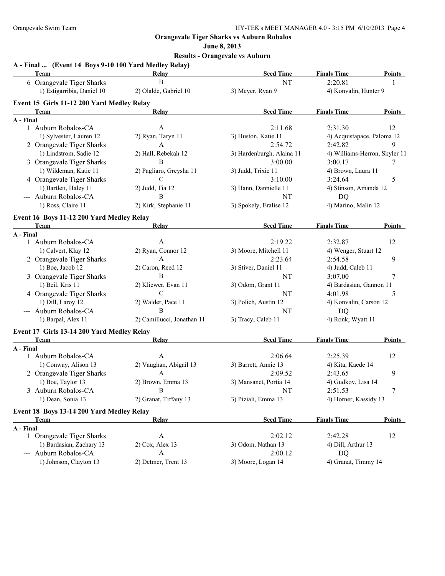**June 8, 2013**

| A - Final  (Event 14 Boys 9-10 100 Yard Medley Relay)<br>Team                                                                                                                                                                       | Relay                      | <b>Seed Time</b>          | <b>Finals Time</b>            | <b>Points</b> |
|-------------------------------------------------------------------------------------------------------------------------------------------------------------------------------------------------------------------------------------|----------------------------|---------------------------|-------------------------------|---------------|
| 6 Orangevale Tiger Sharks                                                                                                                                                                                                           | B                          | <b>NT</b>                 | 2:20.81                       | 1             |
| 1) Estigarribia, Daniel 10                                                                                                                                                                                                          | 2) Olalde, Gabriel 10      | 3) Meyer, Ryan 9          | 4) Konvalin, Hunter 9         |               |
| Event 15 Girls 11-12 200 Yard Medley Relay                                                                                                                                                                                          |                            |                           |                               |               |
| Team                                                                                                                                                                                                                                | Relay                      | <b>Seed Time</b>          | <b>Finals Time</b>            | Points        |
| A - Final                                                                                                                                                                                                                           |                            |                           |                               |               |
| 1 Auburn Robalos-CA                                                                                                                                                                                                                 | $\mathbf{A}$               | 2:11.68                   | 2:31.30                       | 12            |
| 1) Sylvester, Lauren 12                                                                                                                                                                                                             | 2) Ryan, Taryn 11          | 3) Huston, Katie 11       | 4) Acquistapace, Paloma 12    |               |
| 2 Orangevale Tiger Sharks                                                                                                                                                                                                           | A                          | 2:54.72                   | 2:42.82                       | 9             |
| 1) Lindstrom, Sadie 12                                                                                                                                                                                                              | 2) Hall, Rebekah 12        | 3) Hardenburgh, Alaina 11 | 4) Williams-Herron, Skyler 11 |               |
| 3 Orangevale Tiger Sharks                                                                                                                                                                                                           | B                          | 3:00.00                   | 3:00.17                       | 7             |
| 1) Wildeman, Katie 11                                                                                                                                                                                                               | 2) Pagliaro, Greysha 11    | 3) Judd, Trixie 11        | 4) Brown, Laura 11            |               |
| 4 Orangevale Tiger Sharks                                                                                                                                                                                                           | C                          | 3:10.00                   | 3:24.64                       | 5             |
| 1) Bartlett, Haley 11                                                                                                                                                                                                               | 2) Judd, Tia 12            | 3) Hann, Dannielle 11     | 4) Stinson, Amanda 12         |               |
| --- Auburn Robalos-CA                                                                                                                                                                                                               | B                          | NT                        | DQ                            |               |
| 1) Ross, Claire 11                                                                                                                                                                                                                  | 2) Kirk, Stephanie 11      | 3) Spokely, Eralise 12    | 4) Marino, Malin 12           |               |
| Event 16 Boys 11-12 200 Yard Medley Relay                                                                                                                                                                                           |                            |                           |                               |               |
| <b>Team</b> and the state of the state of the state of the state of the state of the state of the state of the state of the state of the state of the state of the state of the state of the state of the state of the state of the | Relay                      | <b>Seed Time</b>          | <b>Finals Time</b>            | Points        |
| A - Final                                                                                                                                                                                                                           |                            |                           |                               |               |
| 1 Auburn Robalos-CA                                                                                                                                                                                                                 | A                          | 2:19.22                   | 2:32.87                       | 12            |
| 1) Calvert, Klay 12                                                                                                                                                                                                                 | 2) Ryan, Connor 12         | 3) Moore, Mitchell 11     | 4) Wenger, Stuart 12          |               |
| 2 Orangevale Tiger Sharks                                                                                                                                                                                                           | $\mathbf{A}$               | 2:23.64                   | 2:54.58                       | 9             |
| 1) Boe, Jacob 12                                                                                                                                                                                                                    | 2) Caron, Reed 12          | 3) Stiver, Daniel 11      | 4) Judd, Caleb 11             |               |
| 3 Orangevale Tiger Sharks                                                                                                                                                                                                           | B                          | NT                        | 3:07.00                       | 7             |
| 1) Beil, Kris 11                                                                                                                                                                                                                    | 2) Kliewer, Evan 11        | 3) Odom, Grant 11         | 4) Bardasian, Gannon 11       |               |
| 4 Orangevale Tiger Sharks                                                                                                                                                                                                           | C                          | NT                        | 4:01.98                       | 5             |
| 1) Dill, Laroy 12                                                                                                                                                                                                                   | 2) Walder, Pace 11         | 3) Polich, Austin 12      | 4) Konvalin, Carson 12        |               |
| --- Auburn Robalos-CA                                                                                                                                                                                                               | B                          | NT                        | DQ                            |               |
| 1) Barpal, Alex 11                                                                                                                                                                                                                  | 2) Camillucci, Jonathan 11 | 3) Tracy, Caleb 11        | 4) Ronk, Wyatt 11             |               |
| Event 17 Girls 13-14 200 Yard Medley Relay                                                                                                                                                                                          |                            |                           |                               |               |
| Team                                                                                                                                                                                                                                | Relay                      | <b>Seed Time</b>          | <b>Finals Time</b>            | Points        |
| A - Final                                                                                                                                                                                                                           |                            |                           |                               |               |
| 1 Auburn Robalos-CA                                                                                                                                                                                                                 | A                          | 2:06.64                   | 2:25.39                       | 12            |
| 1) Conway, Alison 13                                                                                                                                                                                                                | 2) Vaughan, Abigail 13     | 3) Barrett, Annie 13      | 4) Kita, Kaede 14             |               |
| 2 Orangevale Tiger Sharks                                                                                                                                                                                                           | A                          | 2:09.52                   | 2:43.65                       | 9             |
| 1) Boe, Taylor 13                                                                                                                                                                                                                   | 2) Brown, Emma 13          | 3) Mansanet, Portia 14    | 4) Gudkov, Lisa 14            |               |
| 3 Auburn Robalos-CA                                                                                                                                                                                                                 |                            | NT                        | 2:51.53                       |               |
| 1) Dean, Sonia 13                                                                                                                                                                                                                   | 2) Granat, Tiffany 13      | 3) Piziali, Emma 13       | 4) Horner, Kassidy 13         |               |
| Event 18 Boys 13-14 200 Yard Medley Relay                                                                                                                                                                                           |                            |                           |                               |               |
| <b>Team</b>                                                                                                                                                                                                                         | Relay                      | <b>Seed Time</b>          | <b>Finals Time</b>            | <b>Points</b> |
| A - Final                                                                                                                                                                                                                           |                            |                           |                               |               |
| 1 Orangevale Tiger Sharks                                                                                                                                                                                                           | $\mathbf{A}$               | 2:02.12                   | 2:42.28                       | 12            |
| 1) Bardasian, Zachary 13                                                                                                                                                                                                            | 2) Cox, Alex 13            | 3) Odom, Nathan 13        | 4) Dill, Arthur 13            |               |
| --- Auburn Robalos-CA                                                                                                                                                                                                               | $\mathbf{A}$               | 2:00.12                   | DQ                            |               |
| 1) Johnson, Clayton 13                                                                                                                                                                                                              | 2) Detmer, Trent 13        | 3) Moore, Logan 14        | 4) Granat, Timmy 14           |               |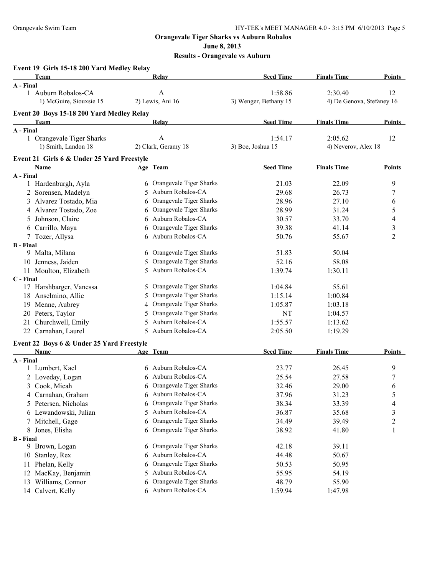**June 8, 2013**

| Event 19 Girls 15-18 200 Yard Medley Relay |                              |                       |                           |                  |
|--------------------------------------------|------------------------------|-----------------------|---------------------------|------------------|
| Team                                       | Relay                        | <b>Seed Time</b>      | <b>Finals Time</b>        | <b>Points</b>    |
| A - Final                                  |                              |                       |                           |                  |
| 1 Auburn Robalos-CA                        | A                            | 1:58.86               | 2:30.40                   | 12               |
| 1) McGuire, Siouxsie 15                    | 2) Lewis, Ani 16             | 3) Wenger, Bethany 15 | 4) De Genova, Stefaney 16 |                  |
| Event 20 Boys 15-18 200 Yard Medley Relay  |                              |                       |                           |                  |
| Team                                       | <b>Relay</b>                 | <b>Seed Time</b>      | <b>Finals Time</b>        | Points           |
| A - Final                                  |                              |                       |                           |                  |
| 1 Orangevale Tiger Sharks                  | A                            | 1:54.17               | 2:05.62                   | 12               |
| 1) Smith, Landon 18                        | 2) Clark, Geramy 18          | 3) Boe, Joshua 15     | 4) Neverov, Alex 18       |                  |
| Event 21 Girls 6 & Under 25 Yard Freestyle |                              |                       |                           |                  |
| Name                                       | Age Team                     | <b>Seed Time</b>      | <b>Finals Time</b>        | Points           |
| A - Final                                  |                              |                       |                           |                  |
| 1 Hardenburgh, Ayla                        | 6 Orangevale Tiger Sharks    | 21.03                 | 22.09                     | 9                |
| 2 Sorensen, Madelyn                        | 5 Auburn Robalos-CA          | 29.68                 | 26.73                     | 7                |
| 3 Alvarez Tostado, Mia                     | Orangevale Tiger Sharks<br>6 | 28.96                 | 27.10                     | 6                |
| 4 Alvarez Tostado, Zoe                     | Orangevale Tiger Sharks<br>6 | 28.99                 | 31.24                     | 5                |
| 5 Johnson, Claire                          | Auburn Robalos-CA<br>6       | 30.57                 | 33.70                     | 4                |
| 6 Carrillo, Maya                           | Orangevale Tiger Sharks<br>6 | 39.38                 | 41.14                     | 3                |
| 7 Tozer, Allysa                            | 6 Auburn Robalos-CA          | 50.76                 | 55.67                     | $\overline{c}$   |
| <b>B</b> - Final                           |                              |                       |                           |                  |
| 9 Malta, Milana                            | Orangevale Tiger Sharks<br>6 | 51.83                 | 50.04                     |                  |
| 10 Jenness, Jaiden                         | Orangevale Tiger Sharks<br>5 | 52.16                 | 58.08                     |                  |
| 11 Moulton, Elizabeth                      | Auburn Robalos-CA<br>5       | 1:39.74               | 1:30.11                   |                  |
| C - Final                                  |                              |                       |                           |                  |
| 17 Harshbarger, Vanessa                    | Orangevale Tiger Sharks<br>5 | 1:04.84               | 55.61                     |                  |
| 18 Anselmino, Allie                        | Orangevale Tiger Sharks<br>5 | 1:15.14               | 1:00.84                   |                  |
| 19 Menne, Aubrey                           | Orangevale Tiger Sharks<br>4 | 1:05.87               | 1:03.18                   |                  |
| 20 Peters, Taylor                          | Orangevale Tiger Sharks<br>5 | NT                    | 1:04.57                   |                  |
| 21 Churchwell, Emily                       | Auburn Robalos-CA<br>5       | 1:55.57               | 1:13.62                   |                  |
| 22 Carnahan, Laurel                        | 5 Auburn Robalos-CA          | 2:05.50               | 1:19.29                   |                  |
| Event 22 Boys 6 & Under 25 Yard Freestyle  |                              |                       |                           |                  |
| <b>Name</b>                                | Age Team                     | <b>Seed Time</b>      | <b>Finals Time</b>        | Points           |
| A - Final                                  |                              |                       |                           |                  |
| 1 Lumbert, Kael                            | Auburn Robalos-CA<br>6       | 23.77                 | 26.45                     | 9                |
| 2 Loveday, Logan                           | Auburn Robalos-CA<br>6       | 25.54                 | 27.58                     | $\boldsymbol{7}$ |
| $\mathfrak{Z}$<br>Cook, Micah              | 6 Orangevale Tiger Sharks    | 32.46                 | 29.00                     | 6                |
| 4 Carnahan, Graham                         | Auburn Robalos-CA<br>6       | 37.96                 | 31.23                     | 5                |
| Petersen, Nicholas<br>5                    | Orangevale Tiger Sharks      | 38.34                 | 33.39                     | 4                |
| 6 Lewandowski, Julian                      | Auburn Robalos-CA<br>5       | 36.87                 | 35.68                     | 3                |
| Mitchell, Gage<br>7                        | Orangevale Tiger Sharks<br>6 | 34.49                 | 39.49                     | $\overline{c}$   |
| Jones, Elisha<br>8                         | Orangevale Tiger Sharks<br>6 | 38.92                 | 41.80                     | 1                |
| <b>B</b> - Final                           |                              |                       |                           |                  |
| 9 Brown, Logan                             | Orangevale Tiger Sharks<br>6 | 42.18                 | 39.11                     |                  |
| 10 Stanley, Rex                            | Auburn Robalos-CA<br>6       | 44.48                 | 50.67                     |                  |
| Phelan, Kelly<br>11                        | Orangevale Tiger Sharks<br>6 | 50.53                 | 50.95                     |                  |
| MacKay, Benjamin<br>12                     | Auburn Robalos-CA<br>5       | 55.95                 | 54.19                     |                  |
| 13 Williams, Connor                        | Orangevale Tiger Sharks<br>6 | 48.79                 | 55.90                     |                  |
| 14 Calvert, Kelly                          | 6 Auburn Robalos-CA          | 1:59.94               | 1:47.98                   |                  |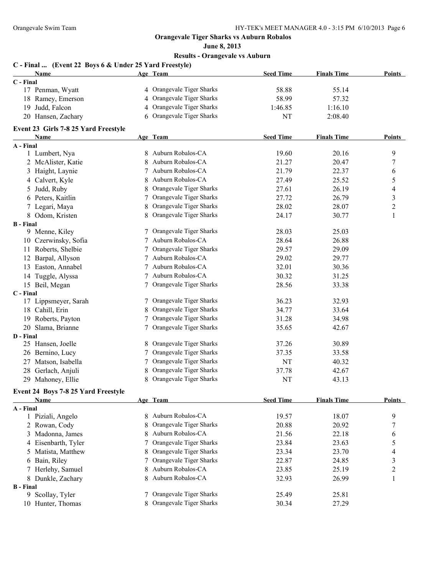**June 8, 2013**

|                  | C - Final  (Event 22 Boys 6 & Under 25 Yard Freestyle) |    |                           |                  |                    |                |
|------------------|--------------------------------------------------------|----|---------------------------|------------------|--------------------|----------------|
|                  | Name                                                   |    | Age Team                  | <b>Seed Time</b> | <b>Finals Time</b> | Points         |
| C - Final        |                                                        |    |                           |                  |                    |                |
|                  | 17 Penman, Wyatt                                       |    | 4 Orangevale Tiger Sharks | 58.88            | 55.14              |                |
|                  | 18 Ramey, Emerson                                      |    | 4 Orangevale Tiger Sharks | 58.99            | 57.32              |                |
|                  | 19 Judd, Falcon                                        |    | 4 Orangevale Tiger Sharks | 1:46.85          | 1:16.10            |                |
|                  | 20 Hansen, Zachary                                     |    | 6 Orangevale Tiger Sharks | NT               | 2:08.40            |                |
|                  | Event 23 Girls 7-8 25 Yard Freestyle                   |    |                           |                  |                    |                |
|                  | <b>Name</b>                                            |    | Age Team                  | <b>Seed Time</b> | <b>Finals Time</b> | Points         |
| A - Final        | 1 Lumbert, Nya                                         |    | 8 Auburn Robalos-CA       | 19.60            | 20.16              | 9              |
|                  | 2 McAlister, Katie                                     | 8  | Auburn Robalos-CA         | 21.27            | 20.47              | 7              |
|                  | 3 Haight, Laynie                                       |    | 7 Auburn Robalos-CA       | 21.79            | 22.37              | 6              |
|                  | 4 Calvert, Kyle                                        | 8  | Auburn Robalos-CA         | 27.49            | 25.52              | 5              |
| 5                | Judd, Ruby                                             | 8  | Orangevale Tiger Sharks   | 27.61            | 26.19              | 4              |
|                  | 6 Peters, Kaitlin                                      |    | 7 Orangevale Tiger Sharks | 27.72            | 26.79              | 3              |
|                  | 7 Legari, Maya                                         | 8  | Orangevale Tiger Sharks   | 28.02            | 28.07              | $\overline{c}$ |
|                  | 8 Odom, Kristen                                        |    | 8 Orangevale Tiger Sharks | 24.17            | 30.77              | $\mathbf{1}$   |
| <b>B</b> - Final |                                                        |    |                           |                  |                    |                |
|                  | 9 Menne, Kiley                                         |    | 7 Orangevale Tiger Sharks | 28.03            | 25.03              |                |
|                  | 10 Czerwinsky, Sofia                                   |    | 7 Auburn Robalos-CA       | 28.64            | 26.88              |                |
|                  | 11 Roberts, Shelbie                                    |    | 7 Orangevale Tiger Sharks | 29.57            | 29.09              |                |
|                  | 12 Barpal, Allyson                                     |    | 7 Auburn Robalos-CA       | 29.02            | 29.77              |                |
|                  | 13 Easton, Annabel                                     |    | 7 Auburn Robalos-CA       | 32.01            | 30.36              |                |
|                  | 14 Tuggle, Alyssa                                      |    | 7 Auburn Robalos-CA       | 30.32            | 31.25              |                |
|                  | 15 Beil, Megan                                         |    | 7 Orangevale Tiger Sharks | 28.56            | 33.38              |                |
| C - Final        |                                                        |    |                           |                  |                    |                |
| 17               | Lippsmeyer, Sarah                                      |    | 7 Orangevale Tiger Sharks | 36.23            | 32.93              |                |
|                  | 18 Cahill, Erin                                        |    | 8 Orangevale Tiger Sharks | 34.77            | 33.64              |                |
|                  | 19 Roberts, Payton                                     |    | 7 Orangevale Tiger Sharks | 31.28            | 34.98              |                |
|                  | 20 Slama, Brianne                                      |    | 7 Orangevale Tiger Sharks | 35.65            | 42.67              |                |
| D - Final        |                                                        |    |                           |                  |                    |                |
|                  | 25 Hansen, Joelle                                      | 8. | Orangevale Tiger Sharks   | 37.26            | 30.89              |                |
|                  | 26 Bernino, Lucy                                       |    | 7 Orangevale Tiger Sharks | 37.35            | 33.58              |                |
| 27               | Matson, Isabella                                       |    | 7 Orangevale Tiger Sharks | NT               | 40.32              |                |
|                  | 28 Gerlach, Anjuli                                     |    | Orangevale Tiger Sharks   | 37.78            | 42.67              |                |
|                  | 29 Mahoney, Ellie                                      |    | 8 Orangevale Tiger Sharks | NT               | 43.13              |                |
|                  | Event 24 Boys 7-8 25 Yard Freestyle                    |    |                           |                  |                    |                |
|                  | <b>Name</b>                                            |    | Age Team                  | <b>Seed Time</b> | <b>Finals Time</b> | <b>Points</b>  |
| A - Final        |                                                        |    |                           |                  |                    |                |
|                  | 1 Piziali, Angelo                                      | 8  | Auburn Robalos-CA         | 19.57            | 18.07              | 9              |
|                  | 2 Rowan, Cody                                          | 8  | Orangevale Tiger Sharks   | 20.88            | 20.92              | 7              |
| 3                | Madonna, James                                         | 8  | Auburn Robalos-CA         | 21.56            | 22.18              | 6              |
|                  | 4 Eisenbarth, Tyler                                    | 7  | Orangevale Tiger Sharks   | 23.84            | 23.63              | 5              |
| 5                | Matista, Matthew                                       | 8  | Orangevale Tiger Sharks   | 23.34            | 23.70              | 4              |
|                  | 6 Bain, Riley                                          | 7  | Orangevale Tiger Sharks   | 22.87            | 24.85              | 3              |
|                  | 7 Herlehy, Samuel                                      | 8  | Auburn Robalos-CA         | 23.85            | 25.19              | $\overline{c}$ |
|                  | 8 Dunkle, Zachary                                      | 8  | Auburn Robalos-CA         | 32.93            | 26.99              | $\mathbf{1}$   |
| <b>B</b> - Final |                                                        |    |                           |                  |                    |                |
|                  | 9 Scollay, Tyler                                       | 7  | Orangevale Tiger Sharks   | 25.49            | 25.81              |                |
|                  | 10 Hunter, Thomas                                      |    | Orangevale Tiger Sharks   | 30.34            | 27.29              |                |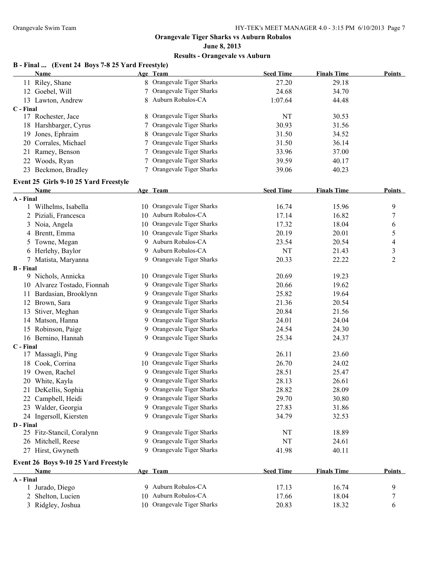#### **June 8, 2013 Results - Orangevale vs Auburn**

#### **B - Final ... (Event 24 Boys 7-8 25 Yard Freestyle)**

|                  | <b>Name</b>                           |   | Age Team                   | <b>Seed Time</b> | <b>Finals Time</b> | <b>Points</b>  |
|------------------|---------------------------------------|---|----------------------------|------------------|--------------------|----------------|
|                  | 11 Riley, Shane                       |   | 8 Orangevale Tiger Sharks  | 27.20            | 29.18              |                |
|                  | 12 Goebel, Will                       |   | 7 Orangevale Tiger Sharks  | 24.68            | 34.70              |                |
|                  | 13 Lawton, Andrew                     |   | 8 Auburn Robalos-CA        | 1:07.64          | 44.48              |                |
| C - Final        |                                       |   |                            |                  |                    |                |
|                  | 17 Rochester, Jace                    |   | 8 Orangevale Tiger Sharks  | NT               | 30.53              |                |
|                  | 18 Harshbarger, Cyrus                 |   | Orangevale Tiger Sharks    | 30.93            | 31.56              |                |
|                  | 19 Jones, Ephraim                     |   | Orangevale Tiger Sharks    | 31.50            | 34.52              |                |
|                  | 20 Corrales, Michael                  |   | Orangevale Tiger Sharks    | 31.50            | 36.14              |                |
|                  | 21 Ramey, Benson                      | 7 | Orangevale Tiger Sharks    | 33.96            | 37.00              |                |
|                  | 22 Woods, Ryan                        |   | Orangevale Tiger Sharks    | 39.59            | 40.17              |                |
|                  | 23 Beckmon, Bradley                   |   | Orangevale Tiger Sharks    | 39.06            | 40.23              |                |
|                  |                                       |   |                            |                  |                    |                |
|                  | Event 25 Girls 9-10 25 Yard Freestyle |   |                            |                  |                    |                |
| A - Final        | Name                                  |   | Age Team                   | <b>Seed Time</b> | <b>Finals Time</b> | <b>Points</b>  |
|                  | 1 Wilhelms, Isabella                  |   | 10 Orangevale Tiger Sharks | 16.74            | 15.96              | 9              |
|                  | 2 Piziali, Francesca                  |   | 10 Auburn Robalos-CA       | 17.14            | 16.82              | 7              |
|                  | 3 Noia, Angela                        |   | 10 Orangevale Tiger Sharks | 17.32            | 18.04              | 6              |
|                  | 4 Brentt, Emma                        |   | 10 Orangevale Tiger Sharks | 20.19            | 20.01              | 5              |
|                  | 5 Towne, Megan                        |   | 9 Auburn Robalos-CA        | 23.54            | 20.54              | 4              |
|                  | 6 Herlehy, Baylor                     |   | 9 Auburn Robalos-CA        | NT               | 21.43              | 3              |
|                  |                                       |   | 9 Orangevale Tiger Sharks  |                  | 22.22              | $\overline{c}$ |
| <b>B</b> - Final | 7 Matista, Maryanna                   |   |                            | 20.33            |                    |                |
|                  | 9 Nichols, Annicka                    |   | 10 Orangevale Tiger Sharks | 20.69            | 19.23              |                |
|                  | 10 Alvarez Tostado, Fionnah           |   | 9 Orangevale Tiger Sharks  | 20.66            | 19.62              |                |
|                  | 11 Bardasian, Brooklynn               |   | 9 Orangevale Tiger Sharks  | 25.82            | 19.64              |                |
|                  | 12 Brown, Sara                        |   | 9 Orangevale Tiger Sharks  | 21.36            | 20.54              |                |
|                  |                                       |   | 9 Orangevale Tiger Sharks  | 20.84            | 21.56              |                |
|                  | 13 Stiver, Meghan                     |   | 9 Orangevale Tiger Sharks  |                  |                    |                |
|                  | 14 Matson, Hanna                      |   | 9 Orangevale Tiger Sharks  | 24.01            | 24.04              |                |
|                  | 15 Robinson, Paige                    |   |                            | 24.54            | 24.30              |                |
|                  | 16 Bernino, Hannah                    |   | 9 Orangevale Tiger Sharks  | 25.34            | 24.37              |                |
| C - Final        | 17 Massagli, Ping                     |   | 9 Orangevale Tiger Sharks  | 26.11            | 23.60              |                |
|                  | 18 Cook, Corrina                      |   | 10 Orangevale Tiger Sharks | 26.70            | 24.02              |                |
|                  | 19 Owen, Rachel                       |   | 9 Orangevale Tiger Sharks  | 28.51            | 25.47              |                |
|                  |                                       |   | 9 Orangevale Tiger Sharks  |                  |                    |                |
|                  | 20 White, Kayla                       |   | 9 Orangevale Tiger Sharks  | 28.13            | 26.61              |                |
|                  | 21 DeKellis, Sophia                   |   |                            | 28.82            | 28.09              |                |
|                  | 22 Campbell, Heidi                    |   | 9 Orangevale Tiger Sharks  | 29.70            | 30.80              |                |
|                  | 23 Walder, Georgia                    |   | 9 Orangevale Tiger Sharks  | 27.83            | 31.86              |                |
|                  | 24 Ingersoll, Kiersten                |   | 9 Orangevale Tiger Sharks  | 34.79            | 32.53              |                |
| D - Final        |                                       |   | 9 Orangevale Tiger Sharks  |                  |                    |                |
|                  | 25 Fitz-Stancil, Coralynn             |   |                            | NT               | 18.89              |                |
|                  | 26 Mitchell, Reese                    |   | 9 Orangevale Tiger Sharks  | NT               | 24.61              |                |
|                  | 27 Hirst, Gwyneth                     |   | 9 Orangevale Tiger Sharks  | 41.98            | 40.11              |                |
|                  | Event 26 Boys 9-10 25 Yard Freestyle  |   |                            |                  |                    |                |
|                  | <b>Name</b>                           |   | Age Team                   | <b>Seed Time</b> | <b>Finals Time</b> | <b>Points</b>  |
| A - Final        |                                       |   |                            |                  |                    |                |
|                  | 1 Jurado, Diego                       |   | 9 Auburn Robalos-CA        | 17.13            | 16.74              | 9              |
|                  | 2 Shelton, Lucien                     |   | 10 Auburn Robalos-CA       | 17.66            | 18.04              | 7              |
|                  | 3 Ridgley, Joshua                     |   | 10 Orangevale Tiger Sharks | 20.83            | 18.32              | 6              |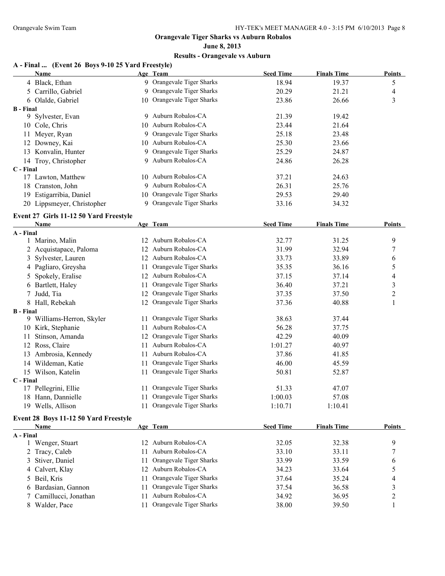### **June 8, 2013 Results - Orangevale vs Auburn**

## **A - Final ... (Event 26 Boys 9-10 25 Yard Freestyle)**

|                  | <b>Name</b>                            |    | Age Team                   | <b>Seed Time</b> | <b>Finals Time</b> | <b>Points</b>           |
|------------------|----------------------------------------|----|----------------------------|------------------|--------------------|-------------------------|
|                  | 4 Black, Ethan                         |    | 9 Orangevale Tiger Sharks  | 18.94            | 19.37              | 5                       |
|                  | 5 Carrillo, Gabriel                    |    | 9 Orangevale Tiger Sharks  | 20.29            | 21.21              | 4                       |
|                  | 6 Olalde, Gabriel                      |    | 10 Orangevale Tiger Sharks | 23.86            | 26.66              | 3                       |
| <b>B</b> - Final |                                        |    |                            |                  |                    |                         |
|                  | 9 Sylvester, Evan                      |    | 9 Auburn Robalos-CA        | 21.39            | 19.42              |                         |
|                  | 10 Cole, Chris                         |    | 10 Auburn Robalos-CA       | 23.44            | 21.64              |                         |
|                  | 11 Meyer, Ryan                         |    | 9 Orangevale Tiger Sharks  | 25.18            | 23.48              |                         |
|                  | 12 Downey, Kai                         |    | 10 Auburn Robalos-CA       | 25.30            | 23.66              |                         |
|                  | 13 Konvalin, Hunter                    |    | 9 Orangevale Tiger Sharks  | 25.29            | 24.87              |                         |
|                  | 14 Troy, Christopher                   |    | 9 Auburn Robalos-CA        | 24.86            | 26.28              |                         |
| C - Final        |                                        |    |                            |                  |                    |                         |
|                  | 17 Lawton, Matthew                     |    | 10 Auburn Robalos-CA       | 37.21            | 24.63              |                         |
|                  | 18 Cranston, John                      |    | 9 Auburn Robalos-CA        | 26.31            | 25.76              |                         |
|                  | 19 Estigarribia, Daniel                |    | 10 Orangevale Tiger Sharks | 29.53            | 29.40              |                         |
|                  | 20 Lippsmeyer, Christopher             |    | 9 Orangevale Tiger Sharks  | 33.16            | 34.32              |                         |
|                  | Event 27 Girls 11-12 50 Yard Freestyle |    |                            |                  |                    |                         |
|                  | Name                                   |    | Age Team                   | <b>Seed Time</b> | <b>Finals Time</b> | <b>Points</b>           |
| A - Final        |                                        |    |                            |                  |                    |                         |
|                  | 1 Marino, Malin                        |    | 12 Auburn Robalos-CA       | 32.77            | 31.25              | 9                       |
| 2                | Acquistapace, Paloma                   |    | 12 Auburn Robalos-CA       | 31.99            | 32.94              | 7                       |
|                  | Sylvester, Lauren                      |    | 12 Auburn Robalos-CA       | 33.73            | 33.89              | 6                       |
| 4                | Pagliaro, Greysha                      | 11 | Orangevale Tiger Sharks    | 35.35            | 36.16              | 5                       |
|                  | Spokely, Eralise                       |    | 12 Auburn Robalos-CA       | 37.15            | 37.14              | 4                       |
|                  | 6 Bartlett, Haley                      | 11 | Orangevale Tiger Sharks    | 36.40            | 37.21              | 3                       |
|                  | Judd, Tia                              |    | 12 Orangevale Tiger Sharks | 37.35            | 37.50              | $\overline{c}$          |
|                  | 8 Hall, Rebekah                        |    | 12 Orangevale Tiger Sharks | 37.36            | 40.88              | 1                       |
| <b>B</b> - Final |                                        |    |                            |                  |                    |                         |
|                  | 9 Williams-Herron, Skyler              |    | 11 Orangevale Tiger Sharks | 38.63            | 37.44              |                         |
|                  | 10 Kirk, Stephanie                     | 11 | Auburn Robalos-CA          | 56.28            | 37.75              |                         |
|                  | 11 Stinson, Amanda                     |    | 12 Orangevale Tiger Sharks | 42.29            | 40.09              |                         |
| 12               | Ross, Claire                           | 11 | Auburn Robalos-CA          | 1:01.27          | 40.97              |                         |
|                  | 13 Ambrosia, Kennedy                   | 11 | Auburn Robalos-CA          | 37.86            | 41.85              |                         |
|                  | 14 Wildeman, Katie                     | 11 | Orangevale Tiger Sharks    | 46.00            | 45.59              |                         |
|                  | 15 Wilson, Katelin                     | 11 | Orangevale Tiger Sharks    | 50.81            | 52.87              |                         |
| C - Final        |                                        |    |                            |                  |                    |                         |
|                  | 17 Pellegrini, Ellie                   |    | 11 Orangevale Tiger Sharks | 51.33            | 47.07              |                         |
|                  | 18 Hann, Dannielle                     |    | 11 Orangevale Tiger Sharks | 1:00.03          | 57.08              |                         |
|                  | 19 Wells, Allison                      |    | 11 Orangevale Tiger Sharks | 1:10.71          | 1:10.41            |                         |
|                  | Event 28 Boys 11-12 50 Yard Freestyle  |    |                            |                  |                    |                         |
|                  | Name                                   |    | Age Team                   | <b>Seed Time</b> | <b>Finals Time</b> | <b>Points</b>           |
| A - Final        |                                        |    |                            |                  |                    |                         |
|                  | 1 Wenger, Stuart                       |    | 12 Auburn Robalos-CA       | 32.05            | 32.38              | 9                       |
|                  | 2 Tracy, Caleb                         | 11 | Auburn Robalos-CA          | 33.10            | 33.11              | 7                       |
| 3                | Stiver, Daniel                         | 11 | Orangevale Tiger Sharks    | 33.99            | 33.59              | 6                       |
| 4                | Calvert, Klay                          |    | 12 Auburn Robalos-CA       | 34.23            | 33.64              | 5                       |
| 5                | Beil, Kris                             | 11 | Orangevale Tiger Sharks    | 37.64            | 35.24              | 4                       |
| 6                | Bardasian, Gannon                      | 11 | Orangevale Tiger Sharks    | 37.54            | 36.58              | 3                       |
| 7                | Camillucci, Jonathan                   | 11 | Auburn Robalos-CA          | 34.92            | 36.95              | $\overline{\mathbf{c}}$ |
|                  | 8 Walder, Pace                         | 11 | Orangevale Tiger Sharks    | 38.00            | 39.50              | 1                       |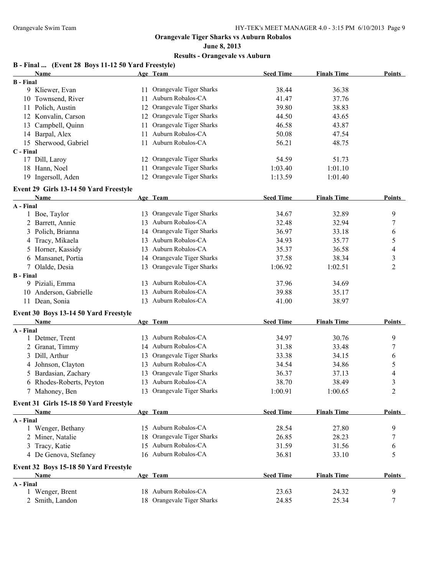# **June 8, 2013**

| B - Final  (Event 28 Boys 11-12 50 Yard Freestyle) |    |                            |                  |                    |                |
|----------------------------------------------------|----|----------------------------|------------------|--------------------|----------------|
| Name                                               |    | Age Team                   | <b>Seed Time</b> | <b>Finals Time</b> | Points         |
| <b>B</b> - Final                                   |    |                            |                  |                    |                |
| 9 Kliewer, Evan                                    |    | 11 Orangevale Tiger Sharks | 38.44            | 36.38              |                |
| 10 Townsend, River                                 | 11 | Auburn Robalos-CA          | 41.47            | 37.76              |                |
| 11 Polich, Austin                                  | 12 | Orangevale Tiger Sharks    | 39.80            | 38.83              |                |
| 12 Konvalin, Carson                                |    | 12 Orangevale Tiger Sharks | 44.50            | 43.65              |                |
| 13 Campbell, Quinn                                 | 11 | Orangevale Tiger Sharks    | 46.58            | 43.87              |                |
| 14 Barpal, Alex                                    | 11 | Auburn Robalos-CA          | 50.08            | 47.54              |                |
| 15 Sherwood, Gabriel                               | 11 | Auburn Robalos-CA          | 56.21            | 48.75              |                |
| C - Final                                          |    |                            |                  |                    |                |
| 17 Dill, Laroy                                     |    | 12 Orangevale Tiger Sharks | 54.59            | 51.73              |                |
| 18 Hann, Noel                                      | 11 | Orangevale Tiger Sharks    | 1:03.40          | 1:01.10            |                |
| 19 Ingersoll, Aden                                 |    | 12 Orangevale Tiger Sharks | 1:13.59          | 1:01.40            |                |
| Event 29 Girls 13-14 50 Yard Freestyle             |    |                            |                  |                    |                |
| Name                                               |    | Age Team                   | <b>Seed Time</b> | <b>Finals Time</b> | Points         |
| A - Final                                          |    |                            |                  |                    |                |
| 1 Boe, Taylor                                      |    | 13 Orangevale Tiger Sharks | 34.67            | 32.89              | 9              |
| 2 Barrett, Annie                                   |    | 13 Auburn Robalos-CA       | 32.48            | 32.94              | 7              |
| 3 Polich, Brianna                                  |    | 14 Orangevale Tiger Sharks | 36.97            | 33.18              | 6              |
| 4 Tracy, Mikaela                                   |    | 13 Auburn Robalos-CA       | 34.93            | 35.77              | 5              |
| 5 Horner, Kassidy                                  |    | 13 Auburn Robalos-CA       | 35.37            | 36.58              | 4              |
| 6 Mansanet, Portia                                 |    | 14 Orangevale Tiger Sharks | 37.58            | 38.34              | 3              |
| 7 Olalde, Desia                                    |    | 13 Orangevale Tiger Sharks | 1:06.92          | 1:02.51            | $\overline{c}$ |
| <b>B</b> - Final                                   |    |                            |                  |                    |                |
| 9 Piziali, Emma                                    |    | 13 Auburn Robalos-CA       | 37.96            | 34.69              |                |
| 10 Anderson, Gabrielle                             |    | 13 Auburn Robalos-CA       | 39.88            | 35.17              |                |
| 11 Dean, Sonia                                     |    | 13 Auburn Robalos-CA       | 41.00            | 38.97              |                |
| Event 30 Boys 13-14 50 Yard Freestyle              |    |                            |                  |                    |                |
| Name                                               |    | Age Team                   | <b>Seed Time</b> | <b>Finals Time</b> | <b>Points</b>  |
| A - Final                                          |    |                            |                  |                    |                |
| 1 Detmer, Trent                                    |    | 13 Auburn Robalos-CA       | 34.97            | 30.76              | 9              |
| 2 Granat, Timmy                                    |    | 14 Auburn Robalos-CA       | 31.38            | 33.48              | 7              |
| 3 Dill, Arthur                                     | 13 | Orangevale Tiger Sharks    | 33.38            | 34.15              | 6              |
| 4 Johnson, Clayton                                 |    | 13 Auburn Robalos-CA       | 34.54            | 34.86              | 5              |
| 5 Bardasian, Zachary                               | 13 | Orangevale Tiger Sharks    | 36.37            | 37.13              | 4              |
| 6 Rhodes-Roberts, Peyton                           |    | 13 Auburn Robalos-CA       | 38.70            | 38.49              | 3              |
| 7 Mahoney, Ben                                     |    | 13 Orangevale Tiger Sharks | 1:00.91          | 1:00.65            | $\overline{c}$ |
| Event 31 Girls 15-18 50 Yard Freestyle             |    |                            |                  |                    |                |
| Name                                               |    | Age Team                   | <b>Seed Time</b> | <b>Finals Time</b> | <b>Points</b>  |
| A - Final                                          |    |                            |                  |                    |                |
| 1 Wenger, Bethany                                  |    | 15 Auburn Robalos-CA       | 28.54            | 27.80              | 9              |
| 2 Miner, Natalie                                   | 18 | Orangevale Tiger Sharks    | 26.85            | 28.23              | 7              |
| 3 Tracy, Katie                                     |    | 15 Auburn Robalos-CA       | 31.59            | 31.56              | 6              |
| 4 De Genova, Stefaney                              |    | 16 Auburn Robalos-CA       | 36.81            | 33.10              | 5              |
| Event 32 Boys 15-18 50 Yard Freestyle              |    |                            |                  |                    |                |
| Name                                               |    | Age Team                   | <b>Seed Time</b> | <b>Finals Time</b> | <b>Points</b>  |
| A - Final                                          |    |                            |                  |                    |                |
| 1 Wenger, Brent                                    |    | 18 Auburn Robalos-CA       | 23.63            | 24.32              | 9              |
| 2 Smith, Landon                                    |    | 18 Orangevale Tiger Sharks | 24.85            | 25.34              | 7              |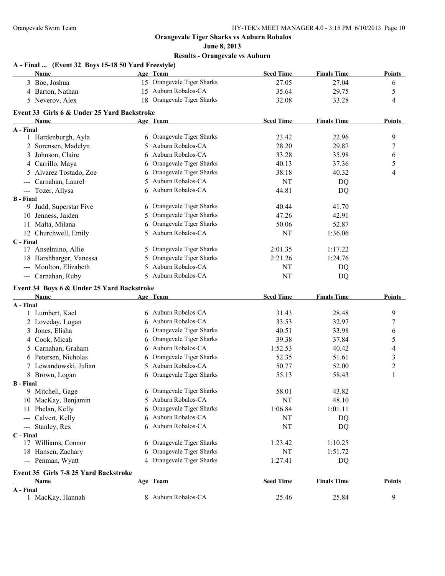**June 8, 2013 Results - Orangevale vs Auburn**

| A - Final  (Event 32 Boys 15-18 50 Yard Freestyle)<br>Name |    | Age Team                   | <b>Seed Time</b> | <b>Finals Time</b> | <b>Points</b>    |
|------------------------------------------------------------|----|----------------------------|------------------|--------------------|------------------|
| 3 Boe, Joshua                                              |    | 15 Orangevale Tiger Sharks | 27.05            | 27.04              | 6                |
| 4 Barton, Nathan                                           |    | 15 Auburn Robalos-CA       | 35.64            | 29.75              | 5                |
| 5 Neverov, Alex                                            |    | 18 Orangevale Tiger Sharks | 32.08            | 33.28              | 4                |
| Event 33 Girls 6 & Under 25 Yard Backstroke                |    |                            |                  |                    |                  |
| Name                                                       |    | Age Team                   | <b>Seed Time</b> | <b>Finals Time</b> | <b>Points</b>    |
| A - Final                                                  |    |                            |                  |                    |                  |
| 1 Hardenburgh, Ayla                                        |    | 6 Orangevale Tiger Sharks  | 23.42            | 22.96              | 9                |
| 2 Sorensen, Madelyn                                        | 5. | Auburn Robalos-CA          | 28.20            | 29.87              | $\boldsymbol{7}$ |
| 3 Johnson, Claire                                          | 6  | Auburn Robalos-CA          | 33.28            | 35.98              | 6                |
| 4 Carrillo, Maya                                           | 6  | Orangevale Tiger Sharks    | 40.13            | 37.36              | 5                |
| 5 Alvarez Tostado, Zoe                                     | 6  | Orangevale Tiger Sharks    | 38.18            | 40.32              | 4                |
| --- Carnahan, Laurel                                       | 5. | Auburn Robalos-CA          | NT               | DQ                 |                  |
| --- Tozer, Allysa                                          |    | 6 Auburn Robalos-CA        | 44.81            | DQ                 |                  |
| <b>B</b> - Final                                           |    |                            |                  |                    |                  |
| 9 Judd, Superstar Five                                     |    | 6 Orangevale Tiger Sharks  | 40.44            | 41.70              |                  |
| 10 Jenness, Jaiden                                         | 5. | Orangevale Tiger Sharks    | 47.26            | 42.91              |                  |
| 11 Malta, Milana                                           | 6  | Orangevale Tiger Sharks    | 50.06            | 52.87              |                  |
| 12 Churchwell, Emily                                       | 5. | Auburn Robalos-CA          | NT               | 1:36.06            |                  |
| C - Final                                                  |    |                            |                  |                    |                  |
| 17 Anselmino, Allie                                        |    | 5 Orangevale Tiger Sharks  | 2:01.35          | 1:17.22            |                  |
| 18 Harshbarger, Vanessa                                    | 5  | Orangevale Tiger Sharks    | 2:21.26          | 1:24.76            |                  |
| --- Moulton, Elizabeth                                     | 5. | Auburn Robalos-CA          | NT               | DQ                 |                  |
| --- Carnahan, Ruby                                         |    | 5 Auburn Robalos-CA        | <b>NT</b>        | DQ                 |                  |
| Event 34 Boys 6 & Under 25 Yard Backstroke                 |    |                            |                  |                    |                  |
| Name                                                       |    | Age Team                   | <b>Seed Time</b> | <b>Finals Time</b> | <b>Points</b>    |
| A - Final                                                  |    |                            |                  |                    |                  |
| 1 Lumbert, Kael                                            | 6  | Auburn Robalos-CA          | 31.43            | 28.48              | 9                |
| 2 Loveday, Logan                                           | 6  | Auburn Robalos-CA          | 33.53            | 32.97              | $\boldsymbol{7}$ |
| 3 Jones, Elisha                                            | 6  | Orangevale Tiger Sharks    | 40.51            | 33.98              | 6                |
| 4 Cook, Micah                                              | 6  | Orangevale Tiger Sharks    | 39.38            | 37.84              | 5                |
| 5 Carnahan, Graham                                         | 6  | Auburn Robalos-CA          | 1:52.53          | 40.42              | $\overline{4}$   |
| 6 Petersen, Nicholas                                       | 6  | Orangevale Tiger Sharks    | 52.35            | 51.61              | $\mathfrak{Z}$   |
| 7 Lewandowski, Julian                                      | 5. | Auburn Robalos-CA          | 50.77            | 52.00              | $\sqrt{2}$       |
| 8 Brown, Logan                                             |    | 6 Orangevale Tiger Sharks  | 55.13            | 58.43              | $\mathbf{1}$     |
| <b>B</b> - Final                                           |    |                            |                  |                    |                  |
| 9 Mitchell, Gage                                           | 6  | Orangevale Tiger Sharks    | 58.01            | 43.82              |                  |
| 10 MacKay, Benjamin                                        | 5  | Auburn Robalos-CA          | <b>NT</b>        | 48.10              |                  |
| 11 Phelan, Kelly                                           | 6  | Orangevale Tiger Sharks    | 1:06.84          | 1:01.11            |                  |
| --- Calvert, Kelly                                         | 6  | Auburn Robalos-CA          | NT               | DQ                 |                  |
| --- Stanley, Rex                                           | 6  | Auburn Robalos-CA          | NT               | DQ                 |                  |
| C - Final                                                  |    |                            |                  |                    |                  |
| 17 Williams, Connor                                        | 6  | Orangevale Tiger Sharks    | 1:23.42          | 1:10.25            |                  |
| 18 Hansen, Zachary                                         |    | Orangevale Tiger Sharks    | NT               | 1:51.72            |                  |
| --- Penman, Wyatt                                          | 4  | Orangevale Tiger Sharks    | 1:27.41          | DQ                 |                  |
| Event 35 Girls 7-8 25 Yard Backstroke                      |    |                            |                  |                    |                  |
| <b>Name</b>                                                |    | Age Team                   | <b>Seed Time</b> | <b>Finals Time</b> | <b>Points</b>    |
| A - Final                                                  |    |                            |                  |                    |                  |
| 1 MacKay, Hannah                                           |    | 8 Auburn Robalos-CA        | 25.46            | 25.84              | 9                |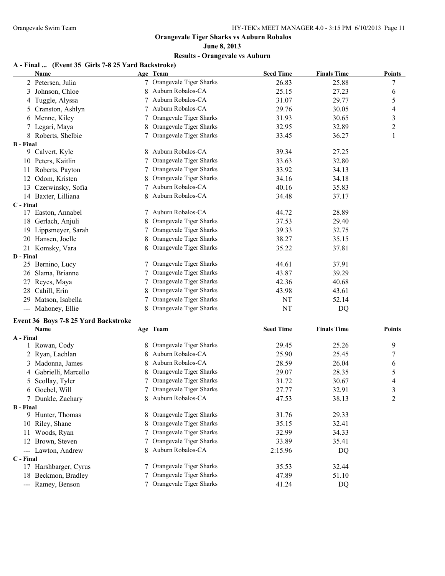### **June 8, 2013 Results - Orangevale vs Auburn**

#### **A - Final ... (Event 35 Girls 7-8 25 Yard Backstroke)**

|                  | <b>Name</b>                          |   | Age Team                  | <b>Seed Time</b> | <b>Finals Time</b> | <b>Points</b>            |
|------------------|--------------------------------------|---|---------------------------|------------------|--------------------|--------------------------|
|                  | 2 Petersen, Julia                    |   | 7 Orangevale Tiger Sharks | 26.83            | 25.88              | 7                        |
| 3                | Johnson, Chloe                       |   | Auburn Robalos-CA         | 25.15            | 27.23              | 6                        |
| 4                | Tuggle, Alyssa                       | 7 | Auburn Robalos-CA         | 31.07            | 29.77              | 5                        |
| 5                | Cranston, Ashlyn                     | 7 | Auburn Robalos-CA         | 29.76            | 30.05              | $\overline{\mathcal{A}}$ |
|                  | 6 Menne, Kiley                       |   | Orangevale Tiger Sharks   | 31.93            | 30.65              | $\overline{\mathbf{3}}$  |
|                  | Legari, Maya                         |   | Orangevale Tiger Sharks   | 32.95            | 32.89              | $\boldsymbol{2}$         |
|                  | 8 Roberts, Shelbie                   |   | Orangevale Tiger Sharks   | 33.45            | 36.27              | 1                        |
| <b>B</b> - Final |                                      |   |                           |                  |                    |                          |
|                  | 9 Calvert, Kyle                      | 8 | Auburn Robalos-CA         | 39.34            | 27.25              |                          |
|                  | 10 Peters, Kaitlin                   |   | Orangevale Tiger Sharks   | 33.63            | 32.80              |                          |
|                  | 11 Roberts, Payton                   | 7 | Orangevale Tiger Sharks   | 33.92            | 34.13              |                          |
|                  | 12 Odom, Kristen                     |   | Orangevale Tiger Sharks   | 34.16            | 34.18              |                          |
|                  | 13 Czerwinsky, Sofia                 | 7 | Auburn Robalos-CA         | 40.16            | 35.83              |                          |
|                  | 14 Baxter, Lilliana                  |   | Auburn Robalos-CA         | 34.48            | 37.17              |                          |
| C - Final        |                                      |   |                           |                  |                    |                          |
|                  | 17 Easton, Annabel                   | 7 | Auburn Robalos-CA         | 44.72            | 28.89              |                          |
|                  | 18 Gerlach, Anjuli                   |   | Orangevale Tiger Sharks   | 37.53            | 29.40              |                          |
|                  | 19 Lippsmeyer, Sarah                 |   | Orangevale Tiger Sharks   | 39.33            | 32.75              |                          |
|                  | 20 Hansen, Joelle                    |   | Orangevale Tiger Sharks   | 38.27            | 35.15              |                          |
|                  | 21 Komsky, Vara                      |   | Orangevale Tiger Sharks   | 35.22            | 37.81              |                          |
| D - Final        |                                      |   |                           |                  |                    |                          |
|                  | 25 Bernino, Lucy                     | 7 | Orangevale Tiger Sharks   | 44.61            | 37.91              |                          |
|                  | 26 Slama, Brianne                    | 7 | Orangevale Tiger Sharks   | 43.87            | 39.29              |                          |
|                  | 27 Reyes, Maya                       |   | Orangevale Tiger Sharks   | 42.36            | 40.68              |                          |
|                  | 28 Cahill, Erin                      | 8 | Orangevale Tiger Sharks   | 43.98            | 43.61              |                          |
| 29               | Matson, Isabella                     |   | Orangevale Tiger Sharks   | NT               | 52.14              |                          |
|                  | --- Mahoney, Ellie                   | 8 | Orangevale Tiger Sharks   | NT               | DQ                 |                          |
|                  | Event 36 Boys 7-8 25 Yard Backstroke |   |                           |                  |                    |                          |
|                  | Name                                 |   | Age Team                  | <b>Seed Time</b> | <b>Finals Time</b> | <b>Points</b>            |
| A - Final        |                                      |   |                           |                  |                    |                          |
|                  | 1 Rowan, Cody                        |   | Orangevale Tiger Sharks   | 29.45            | 25.26              | 9                        |
| 2                | Ryan, Lachlan                        |   | Auburn Robalos-CA         | 25.90            | 25.45              | 7                        |
|                  | 3 Madonna, James                     |   | Auburn Robalos-CA         | 28.59            | 26.04              | 6                        |
|                  | 4 Gabrielli, Marcello                |   | Orangevale Tiger Sharks   | 29.07            | 28.35              | 5                        |
| 5                | Scollay, Tyler                       |   | Orangevale Tiger Sharks   | 31.72            | 30.67              | 4                        |
|                  | 6 Goebel, Will                       |   | Orangevale Tiger Sharks   | 27.77            | 32.91              | 3                        |
|                  | 7 Dunkle, Zachary                    | 8 | Auburn Robalos-CA         | 47.53            | 38.13              | 2                        |
| <b>B</b> - Final |                                      |   |                           |                  |                    |                          |
|                  | 9 Hunter, Thomas                     |   | Orangevale Tiger Sharks   | 31.76            | 29.33              |                          |
|                  | 10 Riley, Shane                      | 8 | Orangevale Tiger Sharks   | 35.15            | 32.41              |                          |
|                  | 11 Woods, Ryan                       |   | Orangevale Tiger Sharks   | 32.99            | 34.33              |                          |
|                  | 12 Brown, Steven                     |   | Orangevale Tiger Sharks   | 33.89            | 35.41              |                          |
|                  | --- Lawton, Andrew                   |   | Auburn Robalos-CA         | 2:15.96          | DQ                 |                          |
| C - Final        |                                      |   |                           |                  |                    |                          |
|                  | 17 Harshbarger, Cyrus                | 7 | Orangevale Tiger Sharks   | 35.53            | 32.44              |                          |
|                  | 18 Beckmon, Bradley                  |   | Orangevale Tiger Sharks   | 47.89            | 51.10              |                          |
|                  | --- Ramey, Benson                    |   | 7 Orangevale Tiger Sharks | 41.24            | DQ                 |                          |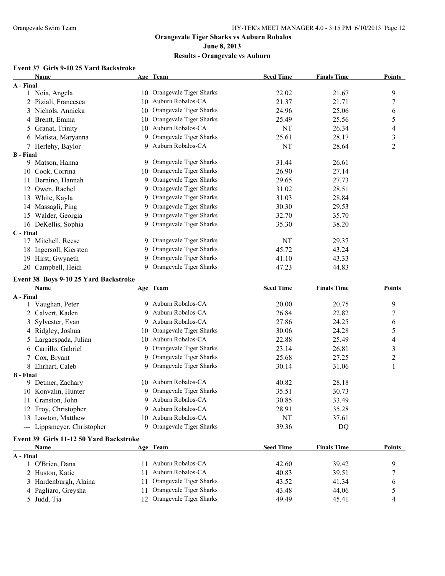#### **June 8, 2013**

# **Results - Orangevale vs Auburn**

# **Event 37 Girls 9-10 25 Yard Backstroke**

|                  | <b>Name</b>                             |               | Age Team                   | <b>Seed Time</b> | <b>Finals Time</b> | <b>Points</b>           |
|------------------|-----------------------------------------|---------------|----------------------------|------------------|--------------------|-------------------------|
| A - Final        |                                         |               |                            |                  |                    |                         |
|                  | 1 Noia, Angela                          |               | 10 Orangevale Tiger Sharks | 22.02            | 21.67              | 9                       |
|                  | 2 Piziali, Francesca                    |               | 10 Auburn Robalos-CA       | 21.37            | 21.71              | 7                       |
|                  | 3 Nichols, Annicka                      |               | 10 Orangevale Tiger Sharks | 24.96            | 25.06              | 6                       |
|                  | 4 Brentt, Emma                          |               | 10 Orangevale Tiger Sharks | 25.49            | 25.56              | 5                       |
|                  | 5 Granat, Trinity                       |               | 10 Auburn Robalos-CA       | NT               | 26.34              | 4                       |
|                  | 6 Matista, Maryanna                     |               | 9 Orangevale Tiger Sharks  | 25.61            | 28.17              | $\overline{\mathbf{3}}$ |
|                  | 7 Herlehy, Baylor                       |               | 9 Auburn Robalos-CA        | NT               | 28.64              | $\overline{2}$          |
| <b>B</b> - Final |                                         |               |                            |                  |                    |                         |
|                  | 9 Matson, Hanna                         |               | 9 Orangevale Tiger Sharks  | 31.44            | 26.61              |                         |
|                  | 10 Cook, Corrina                        |               | 10 Orangevale Tiger Sharks | 26.90            | 27.14              |                         |
|                  | 11 Bernino, Hannah                      |               | 9 Orangevale Tiger Sharks  | 29.65            | 27.73              |                         |
|                  | 12 Owen, Rachel                         |               | 9 Orangevale Tiger Sharks  | 31.02            | 28.51              |                         |
|                  | 13 White, Kayla                         |               | 9 Orangevale Tiger Sharks  | 31.03            | 28.84              |                         |
|                  | 14 Massagli, Ping                       |               | 9 Orangevale Tiger Sharks  | 30.30            | 29.53              |                         |
|                  | 15 Walder, Georgia                      |               | 9 Orangevale Tiger Sharks  | 32.70            | 35.70              |                         |
|                  | 16 DeKellis, Sophia                     |               | 9 Orangevale Tiger Sharks  | 35.30            | 38.20              |                         |
| C - Final        |                                         |               |                            |                  |                    |                         |
|                  | 17 Mitchell, Reese                      |               | 9 Orangevale Tiger Sharks  | NT               | 29.37              |                         |
|                  | 18 Ingersoll, Kiersten                  |               | 9 Orangevale Tiger Sharks  | 45.72            | 43.24              |                         |
|                  | 19 Hirst, Gwyneth                       |               | 9 Orangevale Tiger Sharks  | 41.10            | 43.33              |                         |
|                  | 20 Campbell, Heidi                      |               | 9 Orangevale Tiger Sharks  | 47.23            | 44.83              |                         |
|                  | Event 38 Boys 9-10 25 Yard Backstroke   |               |                            |                  |                    |                         |
|                  | Name                                    |               | Age Team                   | <b>Seed Time</b> | <b>Finals Time</b> | <b>Points</b>           |
| A - Final        |                                         |               |                            |                  |                    |                         |
|                  | 1 Vaughan, Peter                        |               | 9 Auburn Robalos-CA        | 20.00            | 20.75              | 9                       |
|                  | 2 Calvert, Kaden                        |               | Auburn Robalos-CA          | 26.84            | 22.82              | 7                       |
|                  | 3 Sylvester, Evan                       |               | 9 Auburn Robalos-CA        | 27.86            | 24.25              | 6                       |
|                  | 4 Ridgley, Joshua                       |               | 10 Orangevale Tiger Sharks | 30.06            | 24.28              | 5                       |
|                  | 5 Largaespada, Julian                   |               | 10 Auburn Robalos-CA       | 22.88            | 25.49              | 4                       |
|                  | 6 Carrillo, Gabriel                     |               | 9 Orangevale Tiger Sharks  | 23.14            | 26.81              | 3                       |
|                  | 7 Cox, Bryant                           |               | 9 Orangevale Tiger Sharks  | 25.68            | 27.25              | $\overline{c}$          |
|                  | 8 Ehrhart, Caleb                        |               | 9 Orangevale Tiger Sharks  | 30.14            | 31.06              | $\mathbf{1}$            |
| <b>B</b> - Final |                                         |               |                            |                  |                    |                         |
|                  | 9 Detmer, Zachary                       |               | 10 Auburn Robalos-CA       | 40.82            | 28.18              |                         |
|                  | 10 Konvalin, Hunter                     |               | 9 Orangevale Tiger Sharks  | 35.51            | 30.73              |                         |
|                  | 11 Cranston, John                       |               | 9 Auburn Robalos-CA        | 30.85            | 33.49              |                         |
|                  | 12 Troy, Christopher                    |               | Auburn Robalos-CA          | 28.91            | 35.28              |                         |
|                  | 13 Lawton, Matthew                      | 10            | Auburn Robalos-CA          | NT               | 37.61              |                         |
|                  | --- Lippsmeyer, Christopher             |               | 9 Orangevale Tiger Sharks  | 39.36            | DQ                 |                         |
|                  | Event 39 Girls 11-12 50 Yard Backstroke |               |                            |                  |                    |                         |
|                  | Name                                    |               | Age Team                   | <b>Seed Time</b> | <b>Finals Time</b> | <b>Points</b>           |
| A - Final        |                                         |               |                            |                  |                    |                         |
|                  | 1 O'Brien, Dana                         | $\mathbf{11}$ | Auburn Robalos-CA          | 42.60            | 39.42              | 9                       |
|                  | 2 Huston, Katie                         | 11            | Auburn Robalos-CA          | 40.83            | 39.51              | 7                       |
|                  | 3 Hardenburgh, Alaina                   | 11            | Orangevale Tiger Sharks    | 43.52            | 41.34              | 6                       |
|                  | 4 Pagliaro, Greysha                     | 11            | Orangevale Tiger Sharks    | 43.48            | 44.06              | 5                       |
|                  | 5 Judd, Tia                             |               | 12 Orangevale Tiger Sharks | 49.49            | 45.41              | 4                       |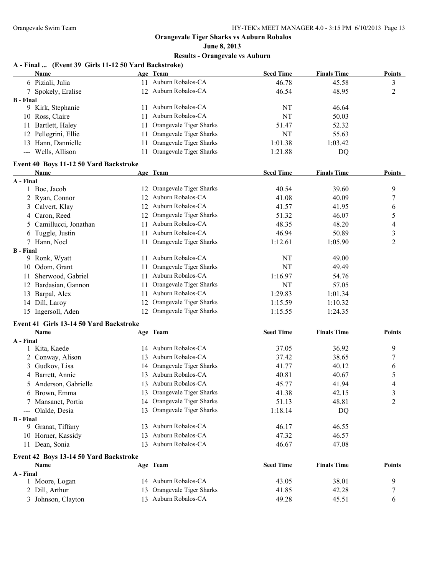### **June 8, 2013 Results - Orangevale vs Auburn**

#### **A - Final ... (Event 39 Girls 11-12 50 Yard Backstroke)**

|                  | <b>Name</b>                             |     | Age Team                   | <b>Seed Time</b> | <b>Finals Time</b> | <b>Points</b>  |
|------------------|-----------------------------------------|-----|----------------------------|------------------|--------------------|----------------|
|                  | 6 Piziali, Julia                        |     | 11 Auburn Robalos-CA       | 46.78            | 45.58              | 3              |
|                  | 7 Spokely, Eralise                      |     | 12 Auburn Robalos-CA       | 46.54            | 48.95              | $\overline{c}$ |
| <b>B</b> - Final |                                         |     |                            |                  |                    |                |
|                  | 9 Kirk, Stephanie                       |     | 11 Auburn Robalos-CA       | NT               | 46.64              |                |
|                  | 10 Ross, Claire                         | 11  | Auburn Robalos-CA          | NT               | 50.03              |                |
|                  | 11 Bartlett, Haley                      | 11. | Orangevale Tiger Sharks    | 51.47            | 52.32              |                |
|                  | 12 Pellegrini, Ellie                    | 11  | Orangevale Tiger Sharks    | <b>NT</b>        | 55.63              |                |
|                  | 13 Hann, Dannielle                      | 11  | Orangevale Tiger Sharks    | 1:01.38          | 1:03.42            |                |
|                  | --- Wells, Allison                      |     | 11 Orangevale Tiger Sharks | 1:21.88          | DQ                 |                |
|                  | Event 40 Boys 11-12 50 Yard Backstroke  |     |                            |                  |                    |                |
|                  | <b>Name</b>                             |     | Age Team                   | <b>Seed Time</b> | <b>Finals Time</b> | <b>Points</b>  |
| A - Final        |                                         |     |                            |                  |                    |                |
|                  | 1 Boe, Jacob                            |     | 12 Orangevale Tiger Sharks | 40.54            | 39.60              | 9              |
|                  | 2 Ryan, Connor                          |     | 12 Auburn Robalos-CA       | 41.08            | 40.09              | $\overline{7}$ |
|                  | 3 Calvert, Klay                         |     | 12 Auburn Robalos-CA       | 41.57            | 41.95              | 6              |
|                  | 4 Caron, Reed                           |     | 12 Orangevale Tiger Sharks | 51.32            | 46.07              | 5              |
|                  | 5 Camillucci, Jonathan                  |     | 11 Auburn Robalos-CA       | 48.35            | 48.20              | 4              |
|                  | 6 Tuggle, Justin                        |     | 11 Auburn Robalos-CA       | 46.94            | 50.89              | $\mathfrak{Z}$ |
|                  | 7 Hann, Noel                            |     | 11 Orangevale Tiger Sharks | 1:12.61          | 1:05.90            | $\overline{c}$ |
| <b>B</b> - Final |                                         |     |                            |                  |                    |                |
|                  | 9 Ronk, Wyatt                           |     | 11 Auburn Robalos-CA       | NT               | 49.00              |                |
|                  | 10 Odom, Grant                          |     | 11 Orangevale Tiger Sharks | NT               | 49.49              |                |
|                  | 11 Sherwood, Gabriel                    |     | 11 Auburn Robalos-CA       | 1:16.97          | 54.76              |                |
|                  | 12 Bardasian, Gannon                    |     | 11 Orangevale Tiger Sharks | NT               | 57.05              |                |
|                  | 13 Barpal, Alex                         |     | 11 Auburn Robalos-CA       | 1:29.83          | 1:01.34            |                |
|                  | 14 Dill, Laroy                          |     | 12 Orangevale Tiger Sharks | 1:15.59          | 1:10.32            |                |
|                  | 15 Ingersoll, Aden                      |     | 12 Orangevale Tiger Sharks | 1:15.55          | 1:24.35            |                |
|                  | Event 41 Girls 13-14 50 Yard Backstroke |     |                            |                  |                    |                |
|                  | Name                                    |     | Age Team                   | <b>Seed Time</b> | <b>Finals Time</b> | <b>Points</b>  |
| A - Final        |                                         |     |                            |                  |                    |                |
|                  | 1 Kita, Kaede                           |     | 14 Auburn Robalos-CA       | 37.05            | 36.92              | 9              |
|                  | 2 Conway, Alison                        |     | 13 Auburn Robalos-CA       | 37.42            | 38.65              | 7              |
|                  | 3 Gudkov, Lisa                          |     | 14 Orangevale Tiger Sharks | 41.77            | 40.12              | 6              |
|                  | 4 Barrett, Annie                        |     | 13 Auburn Robalos-CA       | 40.81            | 40.67              | 5              |
|                  | 5 Anderson, Gabrielle                   |     | 13 Auburn Robalos-CA       | 45.77            | 41.94              | 4              |
|                  | 6 Brown, Emma                           |     | 13 Orangevale Tiger Sharks | 41.38            | 42.15              | 3              |
|                  | 7 Mansanet, Portia                      |     | 14 Orangevale Tiger Sharks | 51.13            | 48.81              | $\overline{c}$ |
|                  | --- Olalde, Desia                       |     | 13 Orangevale Tiger Sharks | 1:18.14          | DQ                 |                |
| <b>B</b> - Final |                                         |     | 13 Auburn Robalos-CA       |                  | 46.55              |                |
|                  | 9 Granat, Tiffany                       |     | 13 Auburn Robalos-CA       | 46.17<br>47.32   |                    |                |
|                  | 10 Horner, Kassidy                      |     | 13 Auburn Robalos-CA       |                  | 46.57              |                |
|                  | 11 Dean, Sonia                          |     |                            | 46.67            | 47.08              |                |
|                  | Event 42 Boys 13-14 50 Yard Backstroke  |     |                            |                  |                    |                |
|                  | Name                                    |     | Age Team                   | <b>Seed Time</b> | <b>Finals Time</b> | <b>Points</b>  |
| A - Final        |                                         |     | 14 Auburn Robalos-CA       | 43.05            | 38.01              | 9              |
|                  | 1 Moore, Logan<br>2 Dill, Arthur        |     | 13 Orangevale Tiger Sharks | 41.85            | 42.28              | $\overline{7}$ |
|                  | 3 Johnson, Clayton                      |     | 13 Auburn Robalos-CA       | 49.28            | 45.51              | 6              |
|                  |                                         |     |                            |                  |                    |                |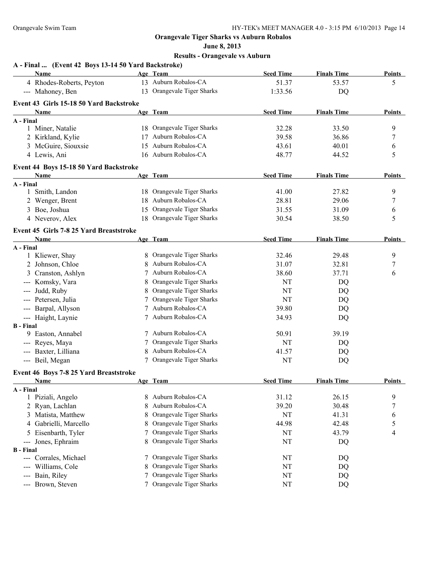**June 8, 2013**

| A - Final  (Event 42 Boys 13-14 50 Yard Backstroke) |   |                            |                  |                    |               |
|-----------------------------------------------------|---|----------------------------|------------------|--------------------|---------------|
| Name                                                |   | Age Team                   | <b>Seed Time</b> | <b>Finals Time</b> | <b>Points</b> |
| 4 Rhodes-Roberts, Peyton                            |   | 13 Auburn Robalos-CA       | 51.37            | 53.57              | 5             |
| --- Mahoney, Ben                                    |   | 13 Orangevale Tiger Sharks | 1:33.56          | DQ                 |               |
| Event 43 Girls 15-18 50 Yard Backstroke             |   |                            |                  |                    |               |
| Name                                                |   | Age Team                   | <b>Seed Time</b> | <b>Finals Time</b> | <b>Points</b> |
| A - Final                                           |   |                            |                  |                    |               |
| 1 Miner, Natalie                                    |   | 18 Orangevale Tiger Sharks | 32.28            | 33.50              | 9             |
| 2 Kirkland, Kylie                                   |   | 17 Auburn Robalos-CA       | 39.58            | 36.86              | 7             |
| 3 McGuire, Siouxsie                                 |   | 15 Auburn Robalos-CA       | 43.61            | 40.01              | 6             |
| 4 Lewis, Ani                                        |   | 16 Auburn Robalos-CA       | 48.77            | 44.52              | 5             |
| Event 44 Boys 15-18 50 Yard Backstroke              |   |                            |                  |                    |               |
| Name                                                |   | Age Team                   | <b>Seed Time</b> | <b>Finals Time</b> | <b>Points</b> |
| A - Final                                           |   |                            |                  |                    |               |
| 1 Smith, Landon                                     |   | 18 Orangevale Tiger Sharks | 41.00            | 27.82              | 9             |
| 2 Wenger, Brent                                     |   | 18 Auburn Robalos-CA       | 28.81            | 29.06              | 7             |
| 3 Boe, Joshua                                       |   | 15 Orangevale Tiger Sharks | 31.55            | 31.09              | 6             |
| 4 Neverov, Alex                                     |   | 18 Orangevale Tiger Sharks | 30.54            | 38.50              | 5             |
| Event 45 Girls 7-8 25 Yard Breaststroke             |   |                            |                  |                    |               |
| Name                                                |   | Age Team                   | <b>Seed Time</b> | <b>Finals Time</b> | <b>Points</b> |
| A - Final                                           |   |                            |                  |                    |               |
| 1 Kliewer, Shay                                     |   | 8 Orangevale Tiger Sharks  | 32.46            | 29.48              | 9             |
| 2 Johnson, Chloe                                    | 8 | Auburn Robalos-CA          | 31.07            | 32.81              | 7             |
| 3 Cranston, Ashlyn                                  |   | Auburn Robalos-CA          | 38.60            | 37.71              | 6             |
| --- Komsky, Vara                                    | 8 | Orangevale Tiger Sharks    | <b>NT</b>        | DQ                 |               |
| --- Judd, Ruby                                      | 8 | Orangevale Tiger Sharks    | NT               | DQ                 |               |
| --- Petersen, Julia                                 |   | Orangevale Tiger Sharks    | NT               | DQ                 |               |
| --- Barpal, Allyson                                 |   | Auburn Robalos-CA          | 39.80            | DQ                 |               |
| --- Haight, Laynie                                  |   | Auburn Robalos-CA          | 34.93            | DQ                 |               |
| <b>B</b> - Final                                    |   |                            |                  |                    |               |
| 9 Easton, Annabel                                   |   | 7 Auburn Robalos-CA        | 50.91            | 39.19              |               |
| --- Reyes, Maya                                     |   | Orangevale Tiger Sharks    | <b>NT</b>        | DQ                 |               |
| --- Baxter, Lilliana                                | 8 | Auburn Robalos-CA          | 41.57            | DQ                 |               |
| --- Beil, Megan                                     |   | 7 Orangevale Tiger Sharks  | NT               | DQ                 |               |
| Event 46 Boys 7-8 25 Yard Breaststroke              |   |                            |                  |                    |               |
| Name                                                |   | Age Team                   | <b>Seed Time</b> | <b>Finals Time</b> | <b>Points</b> |
| A - Final                                           |   |                            |                  |                    |               |
| 1 Piziali, Angelo                                   | 8 | Auburn Robalos-CA          | 31.12            | 26.15              | 9             |
| 2 Ryan, Lachlan                                     | 8 | Auburn Robalos-CA          | 39.20            | 30.48              | 7             |
| 3 Matista, Matthew                                  | 8 | Orangevale Tiger Sharks    | NT               | 41.31              | 6             |
| 4 Gabrielli, Marcello                               | 8 | Orangevale Tiger Sharks    | 44.98            | 42.48              | 5             |
| Eisenbarth, Tyler<br>5                              |   | Orangevale Tiger Sharks    | NT               | 43.79              | 4             |
| Jones, Ephraim<br>---                               |   | Orangevale Tiger Sharks    | NT               | DQ                 |               |
| <b>B</b> - Final                                    |   |                            |                  |                    |               |
| Corrales, Michael<br>---                            | 7 | Orangevale Tiger Sharks    | NT               | DQ                 |               |
| Williams, Cole                                      | 8 | Orangevale Tiger Sharks    | NT               | DQ                 |               |
| Bain, Riley                                         | 7 | Orangevale Tiger Sharks    | NT               | DQ                 |               |
| Brown, Steven<br>---                                |   | Orangevale Tiger Sharks    | NT               | DQ                 |               |
|                                                     |   |                            |                  |                    |               |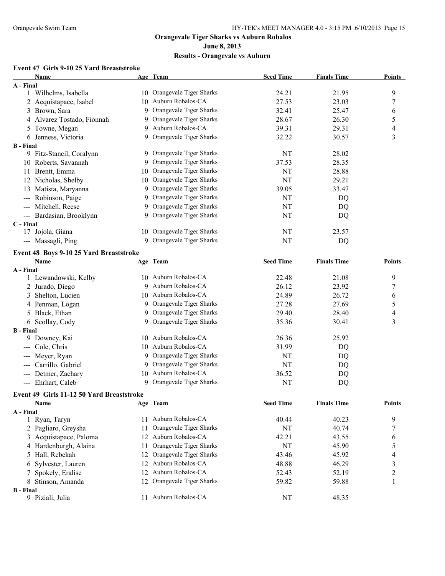#### **June 8, 2013**

# **Results - Orangevale vs Auburn**

# **Event 47 Girls 9-10 25 Yard Breaststroke**

| 10 Orangevale Tiger Sharks<br>9<br>1 Wilhelms, Isabella<br>24.21<br>21.95<br>10 Auburn Robalos-CA<br>27.53<br>7<br>2 Acquistapace, Isabel<br>23.03<br>9 Orangevale Tiger Sharks<br>3 Brown, Sara<br>32.41<br>25.47<br>6<br>5<br>4 Alvarez Tostado, Fionnah<br>9 Orangevale Tiger Sharks<br>28.67<br>26.30<br>9 Auburn Robalos-CA<br>39.31<br>29.31<br>4<br>5 Towne, Megan<br>$\overline{3}$<br>9 Orangevale Tiger Sharks<br>32.22<br>30.57<br>6 Jenness, Victoria<br>9 Orangevale Tiger Sharks<br>28.02<br>9 Fitz-Stancil, Coralynn<br>NT<br>10 Roberts, Savannah<br>9 Orangevale Tiger Sharks<br>28.35<br>37.53<br>10 Orangevale Tiger Sharks<br>11 Brentt, Emma<br>NT<br>28.88<br>10 Orangevale Tiger Sharks<br>NT<br>29.21<br>12 Nicholas, Shelby<br>9 Orangevale Tiger Sharks<br>13 Matista, Maryanna<br>39.05<br>33.47<br>9 Orangevale Tiger Sharks<br>--- Robinson, Paige<br>NT<br>DQ<br>9 Orangevale Tiger Sharks<br>--- Mitchell, Reese<br>NT<br>DQ<br>9 Orangevale Tiger Sharks<br>--- Bardasian, Brooklynn<br>NT<br>DQ<br>17 Jojola, Giana<br>10 Orangevale Tiger Sharks<br>NT<br>23.57<br>9 Orangevale Tiger Sharks<br>--- Massagli, Ping<br>NT<br>DQ<br>Event 48 Boys 9-10 25 Yard Breaststroke<br>Age Team<br><b>Seed Time</b><br><b>Finals Time</b><br><b>Points</b><br>Name<br>10 Auburn Robalos-CA<br>1 Lewandowski, Kelby<br>22.48<br>21.08<br>9<br>9 Auburn Robalos-CA<br>26.12<br>23.92<br>2 Jurado, Diego<br>7<br>10 Auburn Robalos-CA<br>24.89<br>26.72<br>3 Shelton, Lucien<br>6<br>9 Orangevale Tiger Sharks<br>27.28<br>27.69<br>4 Penman, Logan<br>5<br>9 Orangevale Tiger Sharks<br>5 Black, Ethan<br>28.40<br>29.40<br>4<br>Orangevale Tiger Sharks<br>6 Scollay, Cody<br>3<br>35.36<br>30.41<br>9.<br>10 Auburn Robalos-CA<br>9 Downey, Kai<br>26.36<br>25.92<br>10 Auburn Robalos-CA<br>--- Cole, Chris<br>31.99<br>DQ<br>9 Orangevale Tiger Sharks<br>--- Meyer, Ryan<br>NT<br>DQ<br>9 Orangevale Tiger Sharks<br>NT<br>Carrillo, Gabriel<br>DQ<br>10 Auburn Robalos-CA<br>--- Detmer, Zachary<br>36.52<br>DQ<br>9 Orangevale Tiger Sharks<br>--- Ehrhart, Caleb<br>NT<br>DQ<br>Event 49 Girls 11-12 50 Yard Breaststroke<br><b>Seed Time</b><br><b>Finals Time</b><br><b>Points</b><br>Name<br>Age Team<br>A - Final<br>11 Auburn Robalos-CA<br>9<br>1 Ryan, Taryn<br>40.44<br>40.23<br>Orangevale Tiger Sharks<br>2 Pagliaro, Greysha<br>NT<br>40.74<br>7<br>11<br>Auburn Robalos-CA<br>3 Acquistapace, Paloma<br>43.55<br>42.21<br>6<br>12<br>Orangevale Tiger Sharks<br>4 Hardenburgh, Alaina<br>NT<br>45.90<br>5<br>11<br>Orangevale Tiger Sharks<br>45.92<br>5 Hall, Rebekah<br>43.46<br>4<br>12<br>Auburn Robalos-CA<br>6 Sylvester, Lauren<br>48.88<br>46.29<br>$\mathfrak{Z}$<br>12<br>Auburn Robalos-CA<br>$\boldsymbol{2}$<br>7 Spokely, Eralise<br>52.43<br>52.19<br>12<br>8 Stinson, Amanda<br>Orangevale Tiger Sharks<br>59.82<br>59.88<br>1<br>12<br>11 Auburn Robalos-CA<br>9 Piziali, Julia<br>48.35<br>NT | Name             | Age Team | <b>Seed Time</b> | <b>Finals Time</b> | <b>Points</b> |
|-----------------------------------------------------------------------------------------------------------------------------------------------------------------------------------------------------------------------------------------------------------------------------------------------------------------------------------------------------------------------------------------------------------------------------------------------------------------------------------------------------------------------------------------------------------------------------------------------------------------------------------------------------------------------------------------------------------------------------------------------------------------------------------------------------------------------------------------------------------------------------------------------------------------------------------------------------------------------------------------------------------------------------------------------------------------------------------------------------------------------------------------------------------------------------------------------------------------------------------------------------------------------------------------------------------------------------------------------------------------------------------------------------------------------------------------------------------------------------------------------------------------------------------------------------------------------------------------------------------------------------------------------------------------------------------------------------------------------------------------------------------------------------------------------------------------------------------------------------------------------------------------------------------------------------------------------------------------------------------------------------------------------------------------------------------------------------------------------------------------------------------------------------------------------------------------------------------------------------------------------------------------------------------------------------------------------------------------------------------------------------------------------------------------------------------------------------------------------------------------------------------------------------------------------------------------------------------------------------------------------------------------------------------------------------------------------------------------------------------------------------------------------------------------------------------------------------------------------------------------------------------------------------------------------------------------------------------|------------------|----------|------------------|--------------------|---------------|
|                                                                                                                                                                                                                                                                                                                                                                                                                                                                                                                                                                                                                                                                                                                                                                                                                                                                                                                                                                                                                                                                                                                                                                                                                                                                                                                                                                                                                                                                                                                                                                                                                                                                                                                                                                                                                                                                                                                                                                                                                                                                                                                                                                                                                                                                                                                                                                                                                                                                                                                                                                                                                                                                                                                                                                                                                                                                                                                                                           | A - Final        |          |                  |                    |               |
|                                                                                                                                                                                                                                                                                                                                                                                                                                                                                                                                                                                                                                                                                                                                                                                                                                                                                                                                                                                                                                                                                                                                                                                                                                                                                                                                                                                                                                                                                                                                                                                                                                                                                                                                                                                                                                                                                                                                                                                                                                                                                                                                                                                                                                                                                                                                                                                                                                                                                                                                                                                                                                                                                                                                                                                                                                                                                                                                                           |                  |          |                  |                    |               |
|                                                                                                                                                                                                                                                                                                                                                                                                                                                                                                                                                                                                                                                                                                                                                                                                                                                                                                                                                                                                                                                                                                                                                                                                                                                                                                                                                                                                                                                                                                                                                                                                                                                                                                                                                                                                                                                                                                                                                                                                                                                                                                                                                                                                                                                                                                                                                                                                                                                                                                                                                                                                                                                                                                                                                                                                                                                                                                                                                           |                  |          |                  |                    |               |
|                                                                                                                                                                                                                                                                                                                                                                                                                                                                                                                                                                                                                                                                                                                                                                                                                                                                                                                                                                                                                                                                                                                                                                                                                                                                                                                                                                                                                                                                                                                                                                                                                                                                                                                                                                                                                                                                                                                                                                                                                                                                                                                                                                                                                                                                                                                                                                                                                                                                                                                                                                                                                                                                                                                                                                                                                                                                                                                                                           |                  |          |                  |                    |               |
|                                                                                                                                                                                                                                                                                                                                                                                                                                                                                                                                                                                                                                                                                                                                                                                                                                                                                                                                                                                                                                                                                                                                                                                                                                                                                                                                                                                                                                                                                                                                                                                                                                                                                                                                                                                                                                                                                                                                                                                                                                                                                                                                                                                                                                                                                                                                                                                                                                                                                                                                                                                                                                                                                                                                                                                                                                                                                                                                                           |                  |          |                  |                    |               |
|                                                                                                                                                                                                                                                                                                                                                                                                                                                                                                                                                                                                                                                                                                                                                                                                                                                                                                                                                                                                                                                                                                                                                                                                                                                                                                                                                                                                                                                                                                                                                                                                                                                                                                                                                                                                                                                                                                                                                                                                                                                                                                                                                                                                                                                                                                                                                                                                                                                                                                                                                                                                                                                                                                                                                                                                                                                                                                                                                           |                  |          |                  |                    |               |
|                                                                                                                                                                                                                                                                                                                                                                                                                                                                                                                                                                                                                                                                                                                                                                                                                                                                                                                                                                                                                                                                                                                                                                                                                                                                                                                                                                                                                                                                                                                                                                                                                                                                                                                                                                                                                                                                                                                                                                                                                                                                                                                                                                                                                                                                                                                                                                                                                                                                                                                                                                                                                                                                                                                                                                                                                                                                                                                                                           |                  |          |                  |                    |               |
|                                                                                                                                                                                                                                                                                                                                                                                                                                                                                                                                                                                                                                                                                                                                                                                                                                                                                                                                                                                                                                                                                                                                                                                                                                                                                                                                                                                                                                                                                                                                                                                                                                                                                                                                                                                                                                                                                                                                                                                                                                                                                                                                                                                                                                                                                                                                                                                                                                                                                                                                                                                                                                                                                                                                                                                                                                                                                                                                                           | <b>B</b> - Final |          |                  |                    |               |
|                                                                                                                                                                                                                                                                                                                                                                                                                                                                                                                                                                                                                                                                                                                                                                                                                                                                                                                                                                                                                                                                                                                                                                                                                                                                                                                                                                                                                                                                                                                                                                                                                                                                                                                                                                                                                                                                                                                                                                                                                                                                                                                                                                                                                                                                                                                                                                                                                                                                                                                                                                                                                                                                                                                                                                                                                                                                                                                                                           |                  |          |                  |                    |               |
|                                                                                                                                                                                                                                                                                                                                                                                                                                                                                                                                                                                                                                                                                                                                                                                                                                                                                                                                                                                                                                                                                                                                                                                                                                                                                                                                                                                                                                                                                                                                                                                                                                                                                                                                                                                                                                                                                                                                                                                                                                                                                                                                                                                                                                                                                                                                                                                                                                                                                                                                                                                                                                                                                                                                                                                                                                                                                                                                                           |                  |          |                  |                    |               |
|                                                                                                                                                                                                                                                                                                                                                                                                                                                                                                                                                                                                                                                                                                                                                                                                                                                                                                                                                                                                                                                                                                                                                                                                                                                                                                                                                                                                                                                                                                                                                                                                                                                                                                                                                                                                                                                                                                                                                                                                                                                                                                                                                                                                                                                                                                                                                                                                                                                                                                                                                                                                                                                                                                                                                                                                                                                                                                                                                           |                  |          |                  |                    |               |
|                                                                                                                                                                                                                                                                                                                                                                                                                                                                                                                                                                                                                                                                                                                                                                                                                                                                                                                                                                                                                                                                                                                                                                                                                                                                                                                                                                                                                                                                                                                                                                                                                                                                                                                                                                                                                                                                                                                                                                                                                                                                                                                                                                                                                                                                                                                                                                                                                                                                                                                                                                                                                                                                                                                                                                                                                                                                                                                                                           |                  |          |                  |                    |               |
|                                                                                                                                                                                                                                                                                                                                                                                                                                                                                                                                                                                                                                                                                                                                                                                                                                                                                                                                                                                                                                                                                                                                                                                                                                                                                                                                                                                                                                                                                                                                                                                                                                                                                                                                                                                                                                                                                                                                                                                                                                                                                                                                                                                                                                                                                                                                                                                                                                                                                                                                                                                                                                                                                                                                                                                                                                                                                                                                                           |                  |          |                  |                    |               |
|                                                                                                                                                                                                                                                                                                                                                                                                                                                                                                                                                                                                                                                                                                                                                                                                                                                                                                                                                                                                                                                                                                                                                                                                                                                                                                                                                                                                                                                                                                                                                                                                                                                                                                                                                                                                                                                                                                                                                                                                                                                                                                                                                                                                                                                                                                                                                                                                                                                                                                                                                                                                                                                                                                                                                                                                                                                                                                                                                           |                  |          |                  |                    |               |
|                                                                                                                                                                                                                                                                                                                                                                                                                                                                                                                                                                                                                                                                                                                                                                                                                                                                                                                                                                                                                                                                                                                                                                                                                                                                                                                                                                                                                                                                                                                                                                                                                                                                                                                                                                                                                                                                                                                                                                                                                                                                                                                                                                                                                                                                                                                                                                                                                                                                                                                                                                                                                                                                                                                                                                                                                                                                                                                                                           |                  |          |                  |                    |               |
|                                                                                                                                                                                                                                                                                                                                                                                                                                                                                                                                                                                                                                                                                                                                                                                                                                                                                                                                                                                                                                                                                                                                                                                                                                                                                                                                                                                                                                                                                                                                                                                                                                                                                                                                                                                                                                                                                                                                                                                                                                                                                                                                                                                                                                                                                                                                                                                                                                                                                                                                                                                                                                                                                                                                                                                                                                                                                                                                                           |                  |          |                  |                    |               |
|                                                                                                                                                                                                                                                                                                                                                                                                                                                                                                                                                                                                                                                                                                                                                                                                                                                                                                                                                                                                                                                                                                                                                                                                                                                                                                                                                                                                                                                                                                                                                                                                                                                                                                                                                                                                                                                                                                                                                                                                                                                                                                                                                                                                                                                                                                                                                                                                                                                                                                                                                                                                                                                                                                                                                                                                                                                                                                                                                           | C - Final        |          |                  |                    |               |
|                                                                                                                                                                                                                                                                                                                                                                                                                                                                                                                                                                                                                                                                                                                                                                                                                                                                                                                                                                                                                                                                                                                                                                                                                                                                                                                                                                                                                                                                                                                                                                                                                                                                                                                                                                                                                                                                                                                                                                                                                                                                                                                                                                                                                                                                                                                                                                                                                                                                                                                                                                                                                                                                                                                                                                                                                                                                                                                                                           |                  |          |                  |                    |               |
|                                                                                                                                                                                                                                                                                                                                                                                                                                                                                                                                                                                                                                                                                                                                                                                                                                                                                                                                                                                                                                                                                                                                                                                                                                                                                                                                                                                                                                                                                                                                                                                                                                                                                                                                                                                                                                                                                                                                                                                                                                                                                                                                                                                                                                                                                                                                                                                                                                                                                                                                                                                                                                                                                                                                                                                                                                                                                                                                                           |                  |          |                  |                    |               |
|                                                                                                                                                                                                                                                                                                                                                                                                                                                                                                                                                                                                                                                                                                                                                                                                                                                                                                                                                                                                                                                                                                                                                                                                                                                                                                                                                                                                                                                                                                                                                                                                                                                                                                                                                                                                                                                                                                                                                                                                                                                                                                                                                                                                                                                                                                                                                                                                                                                                                                                                                                                                                                                                                                                                                                                                                                                                                                                                                           |                  |          |                  |                    |               |
|                                                                                                                                                                                                                                                                                                                                                                                                                                                                                                                                                                                                                                                                                                                                                                                                                                                                                                                                                                                                                                                                                                                                                                                                                                                                                                                                                                                                                                                                                                                                                                                                                                                                                                                                                                                                                                                                                                                                                                                                                                                                                                                                                                                                                                                                                                                                                                                                                                                                                                                                                                                                                                                                                                                                                                                                                                                                                                                                                           |                  |          |                  |                    |               |
|                                                                                                                                                                                                                                                                                                                                                                                                                                                                                                                                                                                                                                                                                                                                                                                                                                                                                                                                                                                                                                                                                                                                                                                                                                                                                                                                                                                                                                                                                                                                                                                                                                                                                                                                                                                                                                                                                                                                                                                                                                                                                                                                                                                                                                                                                                                                                                                                                                                                                                                                                                                                                                                                                                                                                                                                                                                                                                                                                           | A - Final        |          |                  |                    |               |
|                                                                                                                                                                                                                                                                                                                                                                                                                                                                                                                                                                                                                                                                                                                                                                                                                                                                                                                                                                                                                                                                                                                                                                                                                                                                                                                                                                                                                                                                                                                                                                                                                                                                                                                                                                                                                                                                                                                                                                                                                                                                                                                                                                                                                                                                                                                                                                                                                                                                                                                                                                                                                                                                                                                                                                                                                                                                                                                                                           |                  |          |                  |                    |               |
|                                                                                                                                                                                                                                                                                                                                                                                                                                                                                                                                                                                                                                                                                                                                                                                                                                                                                                                                                                                                                                                                                                                                                                                                                                                                                                                                                                                                                                                                                                                                                                                                                                                                                                                                                                                                                                                                                                                                                                                                                                                                                                                                                                                                                                                                                                                                                                                                                                                                                                                                                                                                                                                                                                                                                                                                                                                                                                                                                           |                  |          |                  |                    |               |
|                                                                                                                                                                                                                                                                                                                                                                                                                                                                                                                                                                                                                                                                                                                                                                                                                                                                                                                                                                                                                                                                                                                                                                                                                                                                                                                                                                                                                                                                                                                                                                                                                                                                                                                                                                                                                                                                                                                                                                                                                                                                                                                                                                                                                                                                                                                                                                                                                                                                                                                                                                                                                                                                                                                                                                                                                                                                                                                                                           |                  |          |                  |                    |               |
|                                                                                                                                                                                                                                                                                                                                                                                                                                                                                                                                                                                                                                                                                                                                                                                                                                                                                                                                                                                                                                                                                                                                                                                                                                                                                                                                                                                                                                                                                                                                                                                                                                                                                                                                                                                                                                                                                                                                                                                                                                                                                                                                                                                                                                                                                                                                                                                                                                                                                                                                                                                                                                                                                                                                                                                                                                                                                                                                                           |                  |          |                  |                    |               |
|                                                                                                                                                                                                                                                                                                                                                                                                                                                                                                                                                                                                                                                                                                                                                                                                                                                                                                                                                                                                                                                                                                                                                                                                                                                                                                                                                                                                                                                                                                                                                                                                                                                                                                                                                                                                                                                                                                                                                                                                                                                                                                                                                                                                                                                                                                                                                                                                                                                                                                                                                                                                                                                                                                                                                                                                                                                                                                                                                           |                  |          |                  |                    |               |
|                                                                                                                                                                                                                                                                                                                                                                                                                                                                                                                                                                                                                                                                                                                                                                                                                                                                                                                                                                                                                                                                                                                                                                                                                                                                                                                                                                                                                                                                                                                                                                                                                                                                                                                                                                                                                                                                                                                                                                                                                                                                                                                                                                                                                                                                                                                                                                                                                                                                                                                                                                                                                                                                                                                                                                                                                                                                                                                                                           |                  |          |                  |                    |               |
|                                                                                                                                                                                                                                                                                                                                                                                                                                                                                                                                                                                                                                                                                                                                                                                                                                                                                                                                                                                                                                                                                                                                                                                                                                                                                                                                                                                                                                                                                                                                                                                                                                                                                                                                                                                                                                                                                                                                                                                                                                                                                                                                                                                                                                                                                                                                                                                                                                                                                                                                                                                                                                                                                                                                                                                                                                                                                                                                                           | <b>B</b> - Final |          |                  |                    |               |
|                                                                                                                                                                                                                                                                                                                                                                                                                                                                                                                                                                                                                                                                                                                                                                                                                                                                                                                                                                                                                                                                                                                                                                                                                                                                                                                                                                                                                                                                                                                                                                                                                                                                                                                                                                                                                                                                                                                                                                                                                                                                                                                                                                                                                                                                                                                                                                                                                                                                                                                                                                                                                                                                                                                                                                                                                                                                                                                                                           |                  |          |                  |                    |               |
|                                                                                                                                                                                                                                                                                                                                                                                                                                                                                                                                                                                                                                                                                                                                                                                                                                                                                                                                                                                                                                                                                                                                                                                                                                                                                                                                                                                                                                                                                                                                                                                                                                                                                                                                                                                                                                                                                                                                                                                                                                                                                                                                                                                                                                                                                                                                                                                                                                                                                                                                                                                                                                                                                                                                                                                                                                                                                                                                                           |                  |          |                  |                    |               |
|                                                                                                                                                                                                                                                                                                                                                                                                                                                                                                                                                                                                                                                                                                                                                                                                                                                                                                                                                                                                                                                                                                                                                                                                                                                                                                                                                                                                                                                                                                                                                                                                                                                                                                                                                                                                                                                                                                                                                                                                                                                                                                                                                                                                                                                                                                                                                                                                                                                                                                                                                                                                                                                                                                                                                                                                                                                                                                                                                           |                  |          |                  |                    |               |
|                                                                                                                                                                                                                                                                                                                                                                                                                                                                                                                                                                                                                                                                                                                                                                                                                                                                                                                                                                                                                                                                                                                                                                                                                                                                                                                                                                                                                                                                                                                                                                                                                                                                                                                                                                                                                                                                                                                                                                                                                                                                                                                                                                                                                                                                                                                                                                                                                                                                                                                                                                                                                                                                                                                                                                                                                                                                                                                                                           |                  |          |                  |                    |               |
|                                                                                                                                                                                                                                                                                                                                                                                                                                                                                                                                                                                                                                                                                                                                                                                                                                                                                                                                                                                                                                                                                                                                                                                                                                                                                                                                                                                                                                                                                                                                                                                                                                                                                                                                                                                                                                                                                                                                                                                                                                                                                                                                                                                                                                                                                                                                                                                                                                                                                                                                                                                                                                                                                                                                                                                                                                                                                                                                                           |                  |          |                  |                    |               |
|                                                                                                                                                                                                                                                                                                                                                                                                                                                                                                                                                                                                                                                                                                                                                                                                                                                                                                                                                                                                                                                                                                                                                                                                                                                                                                                                                                                                                                                                                                                                                                                                                                                                                                                                                                                                                                                                                                                                                                                                                                                                                                                                                                                                                                                                                                                                                                                                                                                                                                                                                                                                                                                                                                                                                                                                                                                                                                                                                           |                  |          |                  |                    |               |
|                                                                                                                                                                                                                                                                                                                                                                                                                                                                                                                                                                                                                                                                                                                                                                                                                                                                                                                                                                                                                                                                                                                                                                                                                                                                                                                                                                                                                                                                                                                                                                                                                                                                                                                                                                                                                                                                                                                                                                                                                                                                                                                                                                                                                                                                                                                                                                                                                                                                                                                                                                                                                                                                                                                                                                                                                                                                                                                                                           |                  |          |                  |                    |               |
|                                                                                                                                                                                                                                                                                                                                                                                                                                                                                                                                                                                                                                                                                                                                                                                                                                                                                                                                                                                                                                                                                                                                                                                                                                                                                                                                                                                                                                                                                                                                                                                                                                                                                                                                                                                                                                                                                                                                                                                                                                                                                                                                                                                                                                                                                                                                                                                                                                                                                                                                                                                                                                                                                                                                                                                                                                                                                                                                                           |                  |          |                  |                    |               |
|                                                                                                                                                                                                                                                                                                                                                                                                                                                                                                                                                                                                                                                                                                                                                                                                                                                                                                                                                                                                                                                                                                                                                                                                                                                                                                                                                                                                                                                                                                                                                                                                                                                                                                                                                                                                                                                                                                                                                                                                                                                                                                                                                                                                                                                                                                                                                                                                                                                                                                                                                                                                                                                                                                                                                                                                                                                                                                                                                           |                  |          |                  |                    |               |
|                                                                                                                                                                                                                                                                                                                                                                                                                                                                                                                                                                                                                                                                                                                                                                                                                                                                                                                                                                                                                                                                                                                                                                                                                                                                                                                                                                                                                                                                                                                                                                                                                                                                                                                                                                                                                                                                                                                                                                                                                                                                                                                                                                                                                                                                                                                                                                                                                                                                                                                                                                                                                                                                                                                                                                                                                                                                                                                                                           |                  |          |                  |                    |               |
|                                                                                                                                                                                                                                                                                                                                                                                                                                                                                                                                                                                                                                                                                                                                                                                                                                                                                                                                                                                                                                                                                                                                                                                                                                                                                                                                                                                                                                                                                                                                                                                                                                                                                                                                                                                                                                                                                                                                                                                                                                                                                                                                                                                                                                                                                                                                                                                                                                                                                                                                                                                                                                                                                                                                                                                                                                                                                                                                                           |                  |          |                  |                    |               |
|                                                                                                                                                                                                                                                                                                                                                                                                                                                                                                                                                                                                                                                                                                                                                                                                                                                                                                                                                                                                                                                                                                                                                                                                                                                                                                                                                                                                                                                                                                                                                                                                                                                                                                                                                                                                                                                                                                                                                                                                                                                                                                                                                                                                                                                                                                                                                                                                                                                                                                                                                                                                                                                                                                                                                                                                                                                                                                                                                           |                  |          |                  |                    |               |
|                                                                                                                                                                                                                                                                                                                                                                                                                                                                                                                                                                                                                                                                                                                                                                                                                                                                                                                                                                                                                                                                                                                                                                                                                                                                                                                                                                                                                                                                                                                                                                                                                                                                                                                                                                                                                                                                                                                                                                                                                                                                                                                                                                                                                                                                                                                                                                                                                                                                                                                                                                                                                                                                                                                                                                                                                                                                                                                                                           |                  |          |                  |                    |               |
|                                                                                                                                                                                                                                                                                                                                                                                                                                                                                                                                                                                                                                                                                                                                                                                                                                                                                                                                                                                                                                                                                                                                                                                                                                                                                                                                                                                                                                                                                                                                                                                                                                                                                                                                                                                                                                                                                                                                                                                                                                                                                                                                                                                                                                                                                                                                                                                                                                                                                                                                                                                                                                                                                                                                                                                                                                                                                                                                                           |                  |          |                  |                    |               |
|                                                                                                                                                                                                                                                                                                                                                                                                                                                                                                                                                                                                                                                                                                                                                                                                                                                                                                                                                                                                                                                                                                                                                                                                                                                                                                                                                                                                                                                                                                                                                                                                                                                                                                                                                                                                                                                                                                                                                                                                                                                                                                                                                                                                                                                                                                                                                                                                                                                                                                                                                                                                                                                                                                                                                                                                                                                                                                                                                           |                  |          |                  |                    |               |
|                                                                                                                                                                                                                                                                                                                                                                                                                                                                                                                                                                                                                                                                                                                                                                                                                                                                                                                                                                                                                                                                                                                                                                                                                                                                                                                                                                                                                                                                                                                                                                                                                                                                                                                                                                                                                                                                                                                                                                                                                                                                                                                                                                                                                                                                                                                                                                                                                                                                                                                                                                                                                                                                                                                                                                                                                                                                                                                                                           |                  |          |                  |                    |               |
|                                                                                                                                                                                                                                                                                                                                                                                                                                                                                                                                                                                                                                                                                                                                                                                                                                                                                                                                                                                                                                                                                                                                                                                                                                                                                                                                                                                                                                                                                                                                                                                                                                                                                                                                                                                                                                                                                                                                                                                                                                                                                                                                                                                                                                                                                                                                                                                                                                                                                                                                                                                                                                                                                                                                                                                                                                                                                                                                                           |                  |          |                  |                    |               |
|                                                                                                                                                                                                                                                                                                                                                                                                                                                                                                                                                                                                                                                                                                                                                                                                                                                                                                                                                                                                                                                                                                                                                                                                                                                                                                                                                                                                                                                                                                                                                                                                                                                                                                                                                                                                                                                                                                                                                                                                                                                                                                                                                                                                                                                                                                                                                                                                                                                                                                                                                                                                                                                                                                                                                                                                                                                                                                                                                           | <b>B</b> - Final |          |                  |                    |               |
|                                                                                                                                                                                                                                                                                                                                                                                                                                                                                                                                                                                                                                                                                                                                                                                                                                                                                                                                                                                                                                                                                                                                                                                                                                                                                                                                                                                                                                                                                                                                                                                                                                                                                                                                                                                                                                                                                                                                                                                                                                                                                                                                                                                                                                                                                                                                                                                                                                                                                                                                                                                                                                                                                                                                                                                                                                                                                                                                                           |                  |          |                  |                    |               |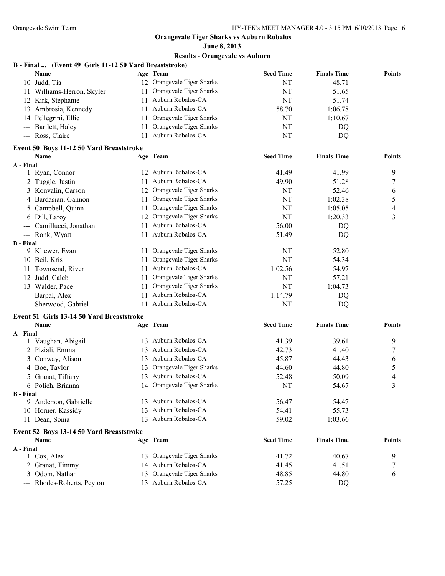# **June 8, 2013**

# **Results - Orangevale vs Auburn**

### **B - Final ... (Event 49 Girls 11-12 50 Yard Breaststroke)**

| Name                       | Age Team                   | <b>Seed Time</b> | <b>Finals Time</b> | <b>Points</b> |
|----------------------------|----------------------------|------------------|--------------------|---------------|
| 10 Judd, Tia               | 12 Orangevale Tiger Sharks | NT               | 48.71              |               |
| 11 Williams-Herron, Skyler | Orangevale Tiger Sharks    | NT               | 51.65              |               |
| 12 Kirk, Stephanie         | Auburn Robalos-CA          | NT               | 51.74              |               |
| 13 Ambrosia, Kennedy       | Auburn Robalos-CA          | 58.70            | 1:06.78            |               |
| 14 Pellegrini, Ellie       | Orangevale Tiger Sharks    | NT               | 1:10.67            |               |
| --- Bartlett, Haley        | Orangevale Tiger Sharks    | NT               | DO                 |               |
| --- Ross, Claire           | Auburn Robalos-CA          | NT               | DO                 |               |

#### **Event 50 Boys 11-12 50 Yard Breaststroke**

| Name                                                                                                                                                                                                                                                                                                                                                                                                                                                                                            | Age Team                      | <b>Seed Time</b> | <b>Finals Time</b> | <b>Points</b> |
|-------------------------------------------------------------------------------------------------------------------------------------------------------------------------------------------------------------------------------------------------------------------------------------------------------------------------------------------------------------------------------------------------------------------------------------------------------------------------------------------------|-------------------------------|------------------|--------------------|---------------|
| A - Final                                                                                                                                                                                                                                                                                                                                                                                                                                                                                       |                               |                  |                    |               |
| 1 Ryan, Connor                                                                                                                                                                                                                                                                                                                                                                                                                                                                                  | Auburn Robalos-CA<br>12       | 41.49            | 41.99              | 9             |
| 2 Tuggle, Justin                                                                                                                                                                                                                                                                                                                                                                                                                                                                                | Auburn Robalos-CA             | 49.90            | 51.28              |               |
| 3 Konvalin, Carson                                                                                                                                                                                                                                                                                                                                                                                                                                                                              | Orangevale Tiger Sharks<br>12 | NT               | 52.46              | 6             |
| 4 Bardasian, Gannon                                                                                                                                                                                                                                                                                                                                                                                                                                                                             | Orangevale Tiger Sharks       | NT               | 1:02.38            | 5             |
| 5 Campbell, Quinn                                                                                                                                                                                                                                                                                                                                                                                                                                                                               | Orangevale Tiger Sharks       | NT               | 1:05.05            | 4             |
| 6 Dill, Laroy                                                                                                                                                                                                                                                                                                                                                                                                                                                                                   | Orangevale Tiger Sharks<br>12 | NT               | 1:20.33            | 3             |
| Camillucci, Jonathan<br>$\sim$ $\sim$ $\sim$                                                                                                                                                                                                                                                                                                                                                                                                                                                    | Auburn Robalos-CA             | 56.00            | DQ                 |               |
| --- Ronk, Wyatt                                                                                                                                                                                                                                                                                                                                                                                                                                                                                 | Auburn Robalos-CA             | 51.49            | DQ                 |               |
| <b>B</b> - Final                                                                                                                                                                                                                                                                                                                                                                                                                                                                                |                               |                  |                    |               |
| 9 Kliewer, Evan                                                                                                                                                                                                                                                                                                                                                                                                                                                                                 | Orangevale Tiger Sharks       | NT               | 52.80              |               |
| 10 Beil, Kris                                                                                                                                                                                                                                                                                                                                                                                                                                                                                   | Orangevale Tiger Sharks       | NT               | 54.34              |               |
| Townsend, River<br>11                                                                                                                                                                                                                                                                                                                                                                                                                                                                           | Auburn Robalos-CA             | 1:02.56          | 54.97              |               |
| Judd, Caleb<br>12                                                                                                                                                                                                                                                                                                                                                                                                                                                                               | Orangevale Tiger Sharks       | NT               | 57.21              |               |
| Walder, Pace<br>13                                                                                                                                                                                                                                                                                                                                                                                                                                                                              | Orangevale Tiger Sharks       | NT               | 1:04.73            |               |
| Barpal, Alex<br>$\qquad \qquad \cdots$                                                                                                                                                                                                                                                                                                                                                                                                                                                          | Auburn Robalos-CA             | 1:14.79          | DQ                 |               |
| Sherwood, Gabriel<br>$\frac{1}{2} \left( \frac{1}{2} \right) \left( \frac{1}{2} \right) \left( \frac{1}{2} \right) \left( \frac{1}{2} \right) \left( \frac{1}{2} \right) \left( \frac{1}{2} \right) \left( \frac{1}{2} \right) \left( \frac{1}{2} \right) \left( \frac{1}{2} \right) \left( \frac{1}{2} \right) \left( \frac{1}{2} \right) \left( \frac{1}{2} \right) \left( \frac{1}{2} \right) \left( \frac{1}{2} \right) \left( \frac{1}{2} \right) \left( \frac{1}{2} \right) \left( \frac$ | Auburn Robalos-CA             | NT               | DQ                 |               |

#### **Event 51 Girls 13-14 50 Yard Breaststroke**

|                  | Name                                     |     | Age Team                   | <b>Seed Time</b> | <b>Finals Time</b> | <b>Points</b> |
|------------------|------------------------------------------|-----|----------------------------|------------------|--------------------|---------------|
| A - Final        |                                          |     |                            |                  |                    |               |
|                  | Vaughan, Abigail                         | 13  | Auburn Robalos-CA          | 41.39            | 39.61              | 9             |
|                  | 2 Piziali, Emma                          | 13  | Auburn Robalos-CA          | 42.73            | 41.40              |               |
|                  | 3 Conway, Alison                         | 13  | Auburn Robalos-CA          | 45.87            | 44.43              | 6             |
|                  | 4 Boe, Taylor                            | 13. | Orangevale Tiger Sharks    | 44.60            | 44.80              | 5             |
|                  | 5 Granat, Tiffany                        | 13  | Auburn Robalos-CA          | 52.48            | 50.09              | 4             |
|                  | 6 Polich, Brianna                        |     | 14 Orangevale Tiger Sharks | NT               | 54.67              | 3             |
| <b>B</b> - Final |                                          |     |                            |                  |                    |               |
| 9.               | Anderson, Gabrielle                      | 13  | Auburn Robalos-CA          | 56.47            | 54.47              |               |
|                  | 10 Horner, Kassidy                       | 13. | Auburn Robalos-CA          | 54.41            | 55.73              |               |
|                  | 11 Dean, Sonia                           | 13  | Auburn Robalos-CA          | 59.02            | 1:03.66            |               |
|                  | Event 52 Boys 13-14 50 Yard Breaststroke |     |                            |                  |                    |               |
|                  | Name                                     |     | Age Team                   | <b>Seed Time</b> | <b>Finals Time</b> | <b>Points</b> |
| A - Final        |                                          |     |                            |                  |                    |               |
|                  | 1 Cox, Alex                              | 13  | Orangevale Tiger Sharks    | 41.72            | 40.67              | 9             |
|                  | 2 Granat, Timmy                          |     | 14 Auburn Robalos-CA       | 41.45            | 41.51              | 7             |
|                  | 3 Odom, Nathan                           | 13. | Orangevale Tiger Sharks    | 48.85            | 44.80              | 6             |
|                  |                                          |     |                            |                  |                    |               |

--- Rhodes-Roberts, Peyton 13 Auburn Robalos-CA 57.25 DQ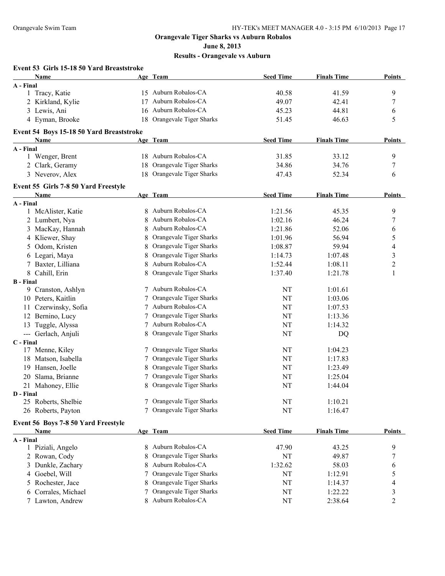**June 8, 2013**

#### **Results - Orangevale vs Auburn**

#### **Event 53 Girls 15-18 50 Yard Breaststroke Name Age Team Seed Time Finals Time Points A - Final** 1 Tracy, Katie 15 Auburn Robalos-CA 40.58 41.59 9 2 Kirkland, Kylie 17 Auburn Robalos-CA 49.07 42.41 7 3 Lewis, Ani 16 Auburn Robalos-CA 45.23 44.81 6 4 Eyman, Brooke 18 Orangevale Tiger Sharks 51.45 46.63 5 **Event 54 Boys 15-18 50 Yard Breaststroke Name Age Team Seed Time Finals Time Points A - Final** 1 Wenger, Brent 18 Auburn Robalos-CA 31.85 33.12 9 2 Clark, Geramy 18 Orangevale Tiger Sharks 34.86 34.76 34.76 7 3 Neverov, Alex 18 Orangevale Tiger Sharks 47.43 52.34 6 **Event 55 Girls 7-8 50 Yard Freestyle Name Age Team Seed Time Finals Time Points A - Final** 1 McAlister, Katie 8 Auburn Robalos-CA 1:21.56 45.35 9 2 Lumbert, Nya 8 Auburn Robalos-CA 1:02.16 46.24 7 3 MacKay, Hannah 8 Auburn Robalos-CA 1:21.86 52.06 6 4 Kliewer, Shay 8 Orangevale Tiger Sharks 1:01.96 56.94 5 5 Odom, Kristen 8 Orangevale Tiger Sharks 1:08.87 59.94 4 4 6 Legari, Maya 8 Orangevale Tiger Sharks 1:14.73 1:07.48 3 7 Baxter, Lilliana 8 Auburn Robalos-CA 1:52.44 1:08.11 2 8 Cahill, Erin 1:21.78 8 Orangevale Tiger Sharks 1:37.40 1:21.78 1:21.78 1:21.78 1:21.78 1:21.78 1:21.78 1:21.78 1:21.78 1:21.78 1:21.78 1:21.78 1:21.78 1:21.78 1:21.78 1:21.78 1:21.78 1:21.78 1:21.78 1:21.78 1:21.78 1:21. **B - Final** 9 Cranston, Ashlyn 7 Auburn Robalos-CA NT 1:01.61 10 Peters, Kaitlin 1:03.06 7 Orangevale Tiger Sharks NT 1:03.06 11 Czerwinsky, Sofia 7 Auburn Robalos-CA NT 1:07.53 12 Bernino, Lucy 7 Orangevale Tiger Sharks NT 1:13.36 13 Tuggle, Alyssa  $\overline{7}$  Auburn Robalos-CA NT 1:14.32 --- Gerlach, Anjuli 8 Orangevale Tiger Sharks NT DQ **C - Final** 7 Orangevale Tiger Sharks NT 1:04.23 18 Matson, Isabella 7 Orangevale Tiger Sharks NT 1:17.83 19 Hansen, Joelle 8 Orangevale Tiger Sharks NT 1:23.49 20 Slama, Brianne 7 Orangevale Tiger Sharks NT 1:25.04 21 Mahoney, Ellie 8 Orangevale Tiger Sharks NT 1:44.04 **D - Final** 25 Roberts, Shelbie 7 Orangevale Tiger Sharks NT 1:10.21 26 Roberts, Payton 7 Orangevale Tiger Sharks NT 1:16.47 **Event 56 Boys 7-8 50 Yard Freestyle Name Age Team Seed Time Finals Time Points A - Final** 1 Piziali, Angelo 8 Auburn Robalos-CA 47.90 43.25 9 2 Rowan, Cody 8 Orangevale Tiger Sharks NT 49.87 7 3 Dunkle, Zachary 8 Auburn Robalos-CA 1:32.62 58.03 6

4 Goebel, Will **7** Orangevale Tiger Sharks **NT** 1:12.91 5 5 Rochester, Jace 8 Orangevale Tiger Sharks NT 1:14.37 4 6 Corrales, Michael 7 Orangevale Tiger Sharks NT 1:22.22 3 7 Lawton, Andrew 8 Auburn Robalos-CA NT 2:38.64 2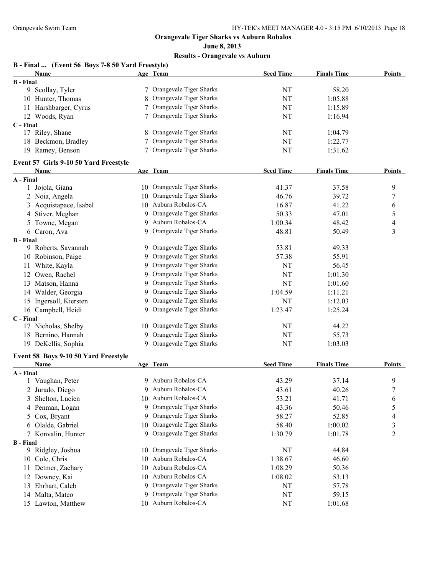**June 8, 2013**

| Name                                  |    | Age Team                   | <b>Seed Time</b> | <b>Finals Time</b> | <b>Points</b>    |
|---------------------------------------|----|----------------------------|------------------|--------------------|------------------|
| <b>B</b> - Final                      |    |                            |                  |                    |                  |
| 9 Scollay, Tyler                      |    | 7 Orangevale Tiger Sharks  | NT               | 58.20              |                  |
| 10 Hunter, Thomas                     | 8  | Orangevale Tiger Sharks    | NT               | 1:05.88            |                  |
| 11 Harshbarger, Cyrus                 |    | Orangevale Tiger Sharks    | NT               | 1:15.89            |                  |
| 12 Woods, Ryan                        |    | 7 Orangevale Tiger Sharks  | NT               | 1:16.94            |                  |
| C - Final                             |    |                            |                  |                    |                  |
| 17 Riley, Shane                       | 8  | Orangevale Tiger Sharks    | NT               | 1:04.79            |                  |
| 18 Beckmon, Bradley                   |    | Orangevale Tiger Sharks    | NT               | 1:22.77            |                  |
| 19 Ramey, Benson                      |    | 7 Orangevale Tiger Sharks  | NT               | 1:31.62            |                  |
| Event 57 Girls 9-10 50 Yard Freestyle |    |                            |                  |                    |                  |
| Name                                  |    | Age Team                   | <b>Seed Time</b> | <b>Finals Time</b> | <b>Points</b>    |
| A - Final                             |    |                            |                  |                    |                  |
| 1 Jojola, Giana                       |    | 10 Orangevale Tiger Sharks | 41.37            | 37.58              | 9                |
| 2 Noia, Angela                        | 10 | Orangevale Tiger Sharks    | 46.76            | 39.72              | 7                |
| Acquistapace, Isabel<br>3             | 10 | Auburn Robalos-CA          | 16.87            | 41.22              | 6                |
| 4 Stiver, Meghan                      | 9. | Orangevale Tiger Sharks    | 50.33            | 47.01              | 5                |
| 5 Towne, Megan                        | 9  | Auburn Robalos-CA          | 1:00.34          | 48.42              | 4                |
| 6 Caron, Ava                          | 9. | Orangevale Tiger Sharks    | 48.81            | 50.49              | 3                |
| <b>B</b> - Final                      |    |                            |                  |                    |                  |
| 9 Roberts, Savannah                   |    | 9 Orangevale Tiger Sharks  | 53.81            | 49.33              |                  |
| 10 Robinson, Paige                    | 9. | Orangevale Tiger Sharks    | 57.38            | 55.91              |                  |
| 11 White, Kayla                       | 9. | Orangevale Tiger Sharks    | NT               | 56.45              |                  |
| 12 Owen, Rachel                       | 9. | Orangevale Tiger Sharks    | NT               | 1:01.30            |                  |
| 13 Matson, Hanna                      | 9. | Orangevale Tiger Sharks    | NT               | 1:01.60            |                  |
| 14 Walder, Georgia                    | 9. | Orangevale Tiger Sharks    | 1:04.59          | 1:11.21            |                  |
| 15 Ingersoll, Kiersten                | 9. | Orangevale Tiger Sharks    | NT               | 1:12.03            |                  |
| 16 Campbell, Heidi                    |    | 9 Orangevale Tiger Sharks  | 1:23.47          | 1:25.24            |                  |
| C - Final                             |    |                            |                  |                    |                  |
| 17 Nicholas, Shelby                   |    | 10 Orangevale Tiger Sharks | NT               | 44.22              |                  |
| 18 Bernino, Hannah                    | 9  | Orangevale Tiger Sharks    | NT               | 55.73              |                  |
| 19 DeKellis, Sophia                   |    | 9 Orangevale Tiger Sharks  | NT               | 1:03.03            |                  |
| Event 58 Boys 9-10 50 Yard Freestyle  |    |                            |                  |                    |                  |
| Name                                  |    | Age Team                   | <b>Seed Time</b> | <b>Finals Time</b> | <b>Points</b>    |
| A - Final                             |    |                            |                  |                    |                  |
| 1 Vaughan, Peter                      |    | 9 Auburn Robalos-CA        | 43.29            | 37.14              | 9                |
| 2 Jurado, Diego                       |    | 9 Auburn Robalos-CA        | 43.61            | 40.26              | $\boldsymbol{7}$ |
| Shelton, Lucien                       |    | 10 Auburn Robalos-CA       | 53.21            | 41.71              | 6                |
| 4 Penman, Logan                       | 9  | Orangevale Tiger Sharks    | 43.36            | 50.46              | 5                |
| Cox, Bryant<br>5                      | 9. | Orangevale Tiger Sharks    | 58.27            | 52.85              | 4                |
| 6 Olalde, Gabriel                     | 10 | Orangevale Tiger Sharks    | 58.40            | 1:00.02            | 3                |
| 7 Konvalin, Hunter                    |    | 9 Orangevale Tiger Sharks  | 1:30.79          | 1:01.78            | $\overline{c}$   |
| <b>B</b> - Final                      |    |                            |                  |                    |                  |
| 9 Ridgley, Joshua                     | 10 | Orangevale Tiger Sharks    | NT               | 44.84              |                  |
| 10 Cole, Chris                        | 10 | Auburn Robalos-CA          | 1:38.67          | 46.60              |                  |
| 11 Detmer, Zachary                    | 10 | Auburn Robalos-CA          | 1:08.29          | 50.36              |                  |
| 12 Downey, Kai                        | 10 | Auburn Robalos-CA          | 1:08.02          | 53.13              |                  |
| 13 Ehrhart, Caleb                     | 9  | Orangevale Tiger Sharks    | NT               | 57.78              |                  |
| 14 Malta, Mateo                       | 9. | Orangevale Tiger Sharks    | NT               | 59.15              |                  |
| 15 Lawton, Matthew                    |    | 10 Auburn Robalos-CA       | NT               | 1:01.68            |                  |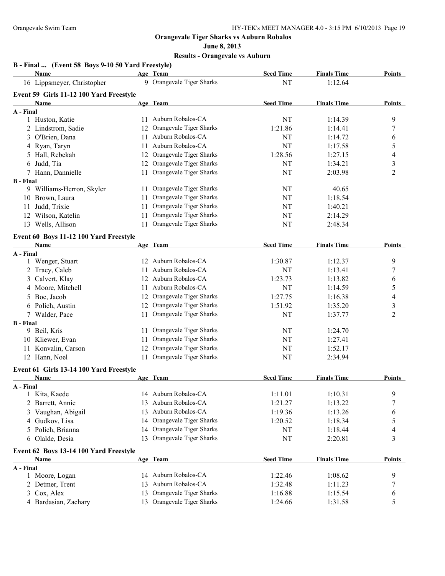**June 8, 2013**

|                  | B - Final  (Event 58 Boys 9-10 50 Yard Freestyle) |    |                            |                  |                    |                         |
|------------------|---------------------------------------------------|----|----------------------------|------------------|--------------------|-------------------------|
|                  | Name                                              |    | Age Team                   | <b>Seed Time</b> | <b>Finals Time</b> | Points                  |
|                  | 16 Lippsmeyer, Christopher                        |    | 9 Orangevale Tiger Sharks  | NT               | 1:12.64            |                         |
|                  | Event 59 Girls 11-12 100 Yard Freestyle           |    |                            |                  |                    |                         |
|                  | Name                                              |    | Age Team                   | <b>Seed Time</b> | <b>Finals Time</b> | <b>Points</b>           |
| A - Final        |                                                   |    |                            |                  |                    |                         |
|                  | 1 Huston, Katie                                   |    | 11 Auburn Robalos-CA       | NT               | 1:14.39            | 9                       |
|                  | 2 Lindstrom, Sadie                                |    | 12 Orangevale Tiger Sharks | 1:21.86          | 1:14.41            | 7                       |
|                  | 3 O'Brien, Dana                                   |    | 11 Auburn Robalos-CA       | NT               | 1:14.72            | 6                       |
|                  | 4 Ryan, Taryn                                     |    | 11 Auburn Robalos-CA       | NT               | 1:17.58            | 5                       |
| 5                | Hall, Rebekah                                     |    | 12 Orangevale Tiger Sharks | 1:28.56          | 1:27.15            | 4                       |
| 6                | Judd, Tia                                         |    | 12 Orangevale Tiger Sharks | NT               | 1:34.21            | 3                       |
|                  | 7 Hann, Dannielle                                 | 11 | Orangevale Tiger Sharks    | NT               | 2:03.98            | 2                       |
| <b>B</b> - Final | 9 Williams-Herron, Skyler                         |    | 11 Orangevale Tiger Sharks | NT               | 40.65              |                         |
|                  | 10 Brown, Laura                                   | 11 | Orangevale Tiger Sharks    | NT               | 1:18.54            |                         |
|                  | 11 Judd, Trixie                                   | 11 | Orangevale Tiger Sharks    | NT               | 1:40.21            |                         |
|                  | 12 Wilson, Katelin                                | 11 | Orangevale Tiger Sharks    | NT               | 2:14.29            |                         |
|                  | 13 Wells, Allison                                 | 11 | Orangevale Tiger Sharks    | NT               | 2:48.34            |                         |
|                  |                                                   |    |                            |                  |                    |                         |
|                  | Event 60 Boys 11-12 100 Yard Freestyle            |    |                            |                  |                    |                         |
|                  | Name                                              |    | Age Team                   | <b>Seed Time</b> | <b>Finals Time</b> | <b>Points</b>           |
| A - Final        |                                                   |    |                            |                  |                    |                         |
|                  | 1 Wenger, Stuart                                  |    | 12 Auburn Robalos-CA       | 1:30.87          | 1:12.37            | 9                       |
|                  | 2 Tracy, Caleb                                    |    | 11 Auburn Robalos-CA       | NT               | 1:13.41            | $\boldsymbol{7}$        |
|                  | 3 Calvert, Klay                                   |    | 12 Auburn Robalos-CA       | 1:23.73          | 1:13.82            | 6                       |
|                  | 4 Moore, Mitchell                                 |    | 11 Auburn Robalos-CA       | NT               | 1:14.59            | 5                       |
|                  | 5 Boe, Jacob                                      | 12 | Orangevale Tiger Sharks    | 1:27.75          | 1:16.38            | $\overline{4}$          |
|                  | 6 Polich, Austin                                  | 12 | Orangevale Tiger Sharks    | 1:51.92          | 1:35.20            | $\overline{\mathbf{3}}$ |
|                  | 7 Walder, Pace                                    |    | 11 Orangevale Tiger Sharks | NT               | 1:37.77            | $\overline{c}$          |
| <b>B</b> - Final |                                                   |    |                            |                  |                    |                         |
|                  | 9 Beil, Kris                                      | 11 | Orangevale Tiger Sharks    | NT               | 1:24.70            |                         |
|                  | 10 Kliewer, Evan                                  | 11 | Orangevale Tiger Sharks    | <b>NT</b>        | 1:27.41            |                         |
|                  | 11 Konvalin, Carson                               | 12 | Orangevale Tiger Sharks    | NT               | 1:52.17            |                         |
|                  | 12 Hann, Noel                                     |    | 11 Orangevale Tiger Sharks | NT               | 2:34.94            |                         |
|                  | Event 61 Girls 13-14 100 Yard Freestyle           |    |                            |                  |                    |                         |
|                  | <b>Name</b>                                       |    | Age Team                   | <b>Seed Time</b> | <b>Finals Time</b> | Points                  |
| A - Final        |                                                   |    |                            |                  |                    |                         |
|                  | 1 Kita, Kaede                                     |    | 14 Auburn Robalos-CA       | 1:11.01          | 1:10.31            | 9                       |
|                  | 2 Barrett, Annie                                  |    | 13 Auburn Robalos-CA       | 1:21.27          | 1:13.22            | 7                       |
|                  | 3 Vaughan, Abigail                                |    | 13 Auburn Robalos-CA       | 1:19.36          | 1:13.26            | 6                       |
|                  | 4 Gudkov, Lisa                                    |    | 14 Orangevale Tiger Sharks | 1:20.52          | 1:18.34            | 5                       |
| 5                | Polich, Brianna                                   |    | 14 Orangevale Tiger Sharks | NT               | 1:18.44            | 4                       |
|                  | 6 Olalde, Desia                                   | 13 | Orangevale Tiger Sharks    | NT               | 2:20.81            | 3                       |
|                  | Event 62 Boys 13-14 100 Yard Freestyle            |    |                            |                  |                    |                         |
|                  | Name                                              |    | Age Team                   | <b>Seed Time</b> | <b>Finals Time</b> | <b>Points</b>           |
| A - Final        |                                                   |    |                            |                  |                    |                         |
|                  | 1 Moore, Logan                                    |    | 14 Auburn Robalos-CA       | 1:22.46          | 1:08.62            | 9                       |
|                  | 2 Detmer, Trent                                   | 13 | Auburn Robalos-CA          | 1:32.48          | 1:11.23            | 7                       |
|                  | 3 Cox, Alex                                       | 13 | Orangevale Tiger Sharks    | 1:16.88          | 1:15.54            | 6                       |
|                  | 4 Bardasian, Zachary                              |    | 13 Orangevale Tiger Sharks | 1:24.66          | 1:31.58            | 5                       |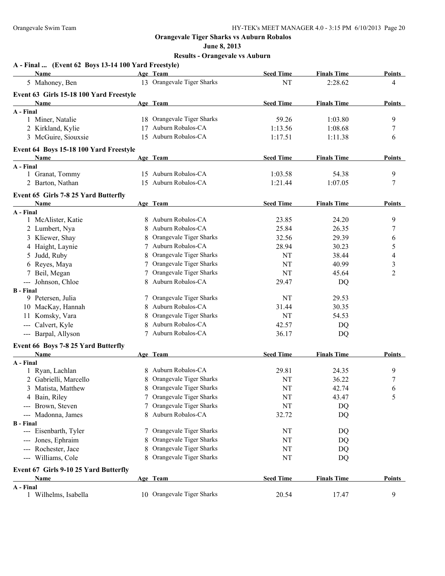**June 8, 2013**

| A - Final  (Event 62 Boys 13-14 100 Yard Freestyle)<br>Name |   | Age Team                   | <b>Seed Time</b> | <b>Finals Time</b> | Points        |
|-------------------------------------------------------------|---|----------------------------|------------------|--------------------|---------------|
| 5 Mahoney, Ben                                              |   | 13 Orangevale Tiger Sharks | NT               | 2:28.62            | 4             |
|                                                             |   |                            |                  |                    |               |
| Event 63 Girls 15-18 100 Yard Freestyle<br>Name             |   | Age Team                   | <b>Seed Time</b> | <b>Finals Time</b> | Points        |
| A - Final                                                   |   |                            |                  |                    |               |
| 1 Miner, Natalie                                            |   | 18 Orangevale Tiger Sharks | 59.26            | 1:03.80            | 9             |
| 2 Kirkland, Kylie                                           |   | 17 Auburn Robalos-CA       | 1:13.56          | 1:08.68            | 7             |
| 3 McGuire, Siouxsie                                         |   | 15 Auburn Robalos-CA       | 1:17.51          | 1:11.38            | 6             |
| Event 64 Boys 15-18 100 Yard Freestyle                      |   |                            |                  |                    |               |
| Name                                                        |   | Age Team                   | <b>Seed Time</b> | <b>Finals Time</b> | <b>Points</b> |
| A - Final                                                   |   |                            |                  |                    |               |
| 1 Granat, Tommy                                             |   | 15 Auburn Robalos-CA       | 1:03.58          | 54.38              | 9             |
| 2 Barton, Nathan                                            |   | 15 Auburn Robalos-CA       | 1:21.44          | 1:07.05            | 7             |
|                                                             |   |                            |                  |                    |               |
| Event 65 Girls 7-8 25 Yard Butterfly<br>Name                |   | Age Team                   | <b>Seed Time</b> | <b>Finals Time</b> | <b>Points</b> |
| A - Final                                                   |   |                            |                  |                    |               |
| 1 McAlister, Katie                                          |   | 8 Auburn Robalos-CA        | 23.85            | 24.20              | 9             |
| 2 Lumbert, Nya                                              |   | Auburn Robalos-CA          | 25.84            | 26.35              | 7             |
| 3 Kliewer, Shay                                             |   | Orangevale Tiger Sharks    | 32.56            | 29.39              | 6             |
| 4 Haight, Laynie                                            |   | Auburn Robalos-CA          | 28.94            | 30.23              | 5             |
| 5 Judd, Ruby                                                |   | Orangevale Tiger Sharks    | NT               | 38.44              | 4             |
| 6 Reyes, Maya                                               |   | Orangevale Tiger Sharks    | <b>NT</b>        | 40.99              | 3             |
| 7 Beil, Megan                                               |   | Orangevale Tiger Sharks    | NT               | 45.64              | 2             |
| --- Johnson, Chloe                                          |   | 8 Auburn Robalos-CA        | 29.47            | DQ                 |               |
| <b>B</b> - Final                                            |   |                            |                  |                    |               |
| 9 Petersen, Julia                                           |   | 7 Orangevale Tiger Sharks  | NT               | 29.53              |               |
| 10 MacKay, Hannah                                           |   | Auburn Robalos-CA          | 31.44            | 30.35              |               |
| 11 Komsky, Vara                                             |   | Orangevale Tiger Sharks    | <b>NT</b>        | 54.53              |               |
| --- Calvert, Kyle                                           |   | Auburn Robalos-CA          | 42.57            | DQ                 |               |
| --- Barpal, Allyson                                         |   | Auburn Robalos-CA          | 36.17            | DQ                 |               |
| Event 66 Boys 7-8 25 Yard Butterfly                         |   |                            |                  |                    |               |
| Name                                                        |   | Age Team                   | <b>Seed Time</b> | <b>Finals Time</b> | <b>Points</b> |
| A - Final                                                   |   |                            |                  |                    |               |
| 1 Ryan, Lachlan                                             |   | 8 Auburn Robalos-CA        | 29.81            | 24.35              | 9             |
| 2 Gabrielli, Marcello                                       |   | 8 Orangevale Tiger Sharks  | NT               | 36.22              | $\tau$        |
| 3 Matista, Matthew                                          |   | 8 Orangevale Tiger Sharks  | NT               | 42.74              | 6             |
| 4 Bain, Riley                                               | 7 | Orangevale Tiger Sharks    | NT               | 43.47              | 5             |
| Brown, Steven                                               | 7 | Orangevale Tiger Sharks    | NT               | DQ                 |               |
| Madonna, James                                              | 8 | Auburn Robalos-CA          | 32.72            | DQ                 |               |
| <b>B</b> - Final                                            |   |                            |                  |                    |               |
| --- Eisenbarth, Tyler                                       |   | 7 Orangevale Tiger Sharks  | NT               | DQ                 |               |
| Jones, Ephraim                                              | 8 | Orangevale Tiger Sharks    | NT               | DQ                 |               |
| Rochester, Jace<br>$\qquad \qquad - -$                      | 8 | Orangevale Tiger Sharks    | NT               | DQ                 |               |
| --- Williams, Cole                                          |   | 8 Orangevale Tiger Sharks  | NT               | DQ                 |               |
| Event 67 Girls 9-10 25 Yard Butterfly                       |   |                            |                  |                    |               |
| <b>Name</b>                                                 |   | Age Team                   | <b>Seed Time</b> | <b>Finals Time</b> | <b>Points</b> |
| A - Final<br>1 Wilhelms, Isabella                           |   | 10 Orangevale Tiger Sharks | 20.54            | 17.47              | 9             |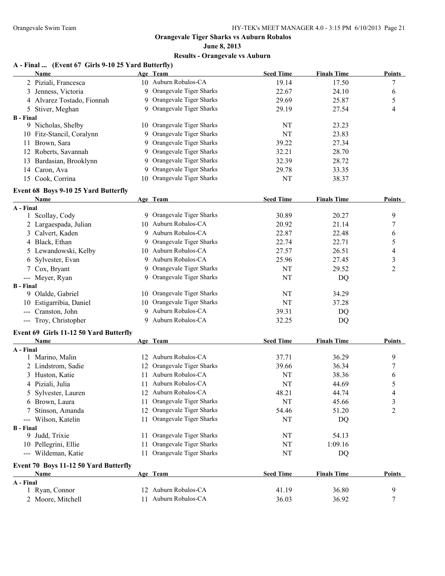### **June 8, 2013 Results - Orangevale vs Auburn**

## **A - Final ... (Event 67 Girls 9-10 25 Yard Butterfly)**

|                  | <b>Name</b>                            |    | Age Team                   | <b>Seed Time</b> | <b>Finals Time</b> | <b>Points</b> |
|------------------|----------------------------------------|----|----------------------------|------------------|--------------------|---------------|
|                  | 2 Piziali, Francesca                   |    | 10 Auburn Robalos-CA       | 19.14            | 17.50              | 7             |
|                  | 3 Jenness, Victoria                    |    | 9 Orangevale Tiger Sharks  | 22.67            | 24.10              | 6             |
|                  | 4 Alvarez Tostado, Fionnah             |    | 9 Orangevale Tiger Sharks  | 29.69            | 25.87              | 5             |
|                  | 5 Stiver, Meghan                       |    | 9 Orangevale Tiger Sharks  | 29.19            | 27.54              | 4             |
| <b>B</b> - Final |                                        |    |                            |                  |                    |               |
|                  | 9 Nicholas, Shelby                     |    | 10 Orangevale Tiger Sharks | NT               | 23.23              |               |
|                  | 10 Fitz-Stancil, Coralynn              |    | 9 Orangevale Tiger Sharks  | NT               | 23.83              |               |
|                  | 11 Brown, Sara                         |    | 9 Orangevale Tiger Sharks  | 39.22            | 27.34              |               |
|                  | 12 Roberts, Savannah                   |    | 9 Orangevale Tiger Sharks  | 32.21            | 28.70              |               |
|                  | 13 Bardasian, Brooklynn                |    | 9 Orangevale Tiger Sharks  | 32.39            | 28.72              |               |
|                  | 14 Caron, Ava                          |    | 9 Orangevale Tiger Sharks  | 29.78            | 33.35              |               |
|                  | 15 Cook, Corrina                       |    | 10 Orangevale Tiger Sharks | NT               | 38.37              |               |
|                  | Event 68 Boys 9-10 25 Yard Butterfly   |    |                            |                  |                    |               |
|                  | Name                                   |    | Age Team                   | <b>Seed Time</b> | <b>Finals Time</b> | <b>Points</b> |
| A - Final        |                                        |    |                            |                  |                    |               |
|                  | 1 Scollay, Cody                        |    | 9 Orangevale Tiger Sharks  | 30.89            | 20.27              | 9             |
|                  | 2 Largaespada, Julian                  |    | 10 Auburn Robalos-CA       | 20.92            | 21.14              | 7             |
|                  | 3 Calvert, Kaden                       |    | 9 Auburn Robalos-CA        | 22.87            | 22.48              | 6             |
|                  | 4 Black, Ethan                         |    | 9 Orangevale Tiger Sharks  | 22.74            | 22.71              | 5             |
|                  | 5 Lewandowski, Kelby                   |    | 10 Auburn Robalos-CA       | 27.57            | 26.51              | 4             |
|                  | 6 Sylvester, Evan                      | 9. | Auburn Robalos-CA          | 25.96            | 27.45              | 3             |
|                  | 7 Cox, Bryant                          | 9. | Orangevale Tiger Sharks    | NT               | 29.52              | 2             |
|                  | --- Meyer, Ryan                        |    | 9 Orangevale Tiger Sharks  | NT               | DQ                 |               |
| <b>B</b> - Final |                                        |    |                            |                  |                    |               |
|                  | 9 Olalde, Gabriel                      |    | 10 Orangevale Tiger Sharks | NT               | 34.29              |               |
|                  | 10 Estigarribia, Daniel                |    | 10 Orangevale Tiger Sharks | NT               | 37.28              |               |
|                  | --- Cranston, John                     |    | 9 Auburn Robalos-CA        | 39.31            | DQ                 |               |
|                  | --- Troy, Christopher                  |    | 9 Auburn Robalos-CA        | 32.25            | DQ                 |               |
|                  | Event 69 Girls 11-12 50 Yard Butterfly |    |                            |                  |                    |               |
|                  | Name                                   |    | Age Team                   | <b>Seed Time</b> | <b>Finals Time</b> | <b>Points</b> |
| A - Final        |                                        |    |                            |                  |                    |               |
|                  | 1 Marino, Malin                        |    | 12 Auburn Robalos-CA       | 37.71            | 36.29              | 9             |
|                  | 2 Lindstrom, Sadie                     |    | 12 Orangevale Tiger Sharks | 39.66            | 36.34              | 7             |
|                  | 3 Huston, Katie                        |    | 11 Auburn Robalos-CA       | NT               | 38.36              | 6             |
|                  | 4 Piziali, Julia                       | 11 | Auburn Robalos-CA          | NT               | 44.69              | 5             |
| 5.               | Sylvester, Lauren                      |    | 12 Auburn Robalos-CA       | 48.21            | 44.74              | 4             |
|                  | 6 Brown, Laura                         |    | 11 Orangevale Tiger Sharks | NT               | 45.66              | 3             |
|                  | 7 Stinson, Amanda                      |    | 12 Orangevale Tiger Sharks | 54.46            | 51.20              | 2             |
|                  | --- Wilson, Katelin                    | 11 | Orangevale Tiger Sharks    | NT               | DQ                 |               |
| <b>B</b> - Final |                                        |    |                            |                  |                    |               |
|                  | 9 Judd, Trixie                         |    | 11 Orangevale Tiger Sharks | NT               | 54.13              |               |
|                  | 10 Pellegrini, Ellie                   | 11 | Orangevale Tiger Sharks    | NT               | 1:09.16            |               |
|                  | --- Wildeman, Katie                    |    | 11 Orangevale Tiger Sharks | NT               | DQ                 |               |
|                  | Event 70 Boys 11-12 50 Yard Butterfly  |    |                            |                  |                    |               |
|                  | <b>Name</b>                            |    | Age Team                   | <b>Seed Time</b> | <b>Finals Time</b> | Points        |
| A - Final        |                                        |    |                            |                  |                    |               |
|                  | 1 Ryan, Connor                         |    | 12 Auburn Robalos-CA       | 41.19            | 36.80              | 9             |
|                  | 2 Moore, Mitchell                      | 11 | Auburn Robalos-CA          | 36.03            | 36.92              | 7             |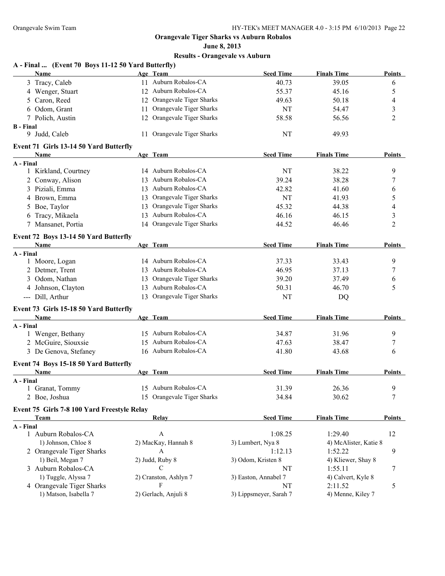# **June 8, 2013 Results - Orangevale vs Auburn**

| A - Final  (Event 70 Boys 11-12 50 Yard Butterfly)<br><b>Name</b> |    | Age Team                   | <b>Seed Time</b>       | <b>Finals Time</b>    | <b>Points</b>  |
|-------------------------------------------------------------------|----|----------------------------|------------------------|-----------------------|----------------|
| 3 Tracy, Caleb                                                    |    | 11 Auburn Robalos-CA       | 40.73                  | 39.05                 | 6              |
| 4 Wenger, Stuart                                                  |    | 12 Auburn Robalos-CA       | 55.37                  | 45.16                 | 5              |
| 5 Caron, Reed                                                     | 12 | Orangevale Tiger Sharks    | 49.63                  | 50.18                 | 4              |
| 6 Odom, Grant                                                     | 11 | Orangevale Tiger Sharks    | NT                     | 54.47                 | 3              |
| 7 Polich, Austin                                                  |    | 12 Orangevale Tiger Sharks | 58.58                  | 56.56                 | 2              |
| <b>B</b> - Final                                                  |    |                            |                        |                       |                |
| 9 Judd, Caleb                                                     |    | 11 Orangevale Tiger Sharks | NT                     | 49.93                 |                |
| Event 71 Girls 13-14 50 Yard Butterfly                            |    |                            |                        |                       |                |
| Name                                                              |    | Age Team                   | <b>Seed Time</b>       | <b>Finals Time</b>    | Points         |
| A - Final                                                         |    |                            |                        |                       |                |
| 1 Kirkland, Courtney                                              |    | 14 Auburn Robalos-CA       | NT                     | 38.22                 | 9              |
| 2 Conway, Alison                                                  | 13 | Auburn Robalos-CA          | 39.24                  | 38.28                 | 7              |
| 3 Piziali, Emma                                                   | 13 | Auburn Robalos-CA          | 42.82                  | 41.60                 | 6              |
| 4 Brown, Emma                                                     | 13 | Orangevale Tiger Sharks    | <b>NT</b>              | 41.93                 | 5              |
| 5 Boe, Taylor                                                     | 13 | Orangevale Tiger Sharks    | 45.32                  | 44.38                 | 4              |
| 6 Tracy, Mikaela                                                  | 13 | Auburn Robalos-CA          | 46.16                  | 46.15                 | 3              |
| 7 Mansanet, Portia                                                |    | 14 Orangevale Tiger Sharks | 44.52                  | 46.46                 | $\overline{2}$ |
| Event 72 Boys 13-14 50 Yard Butterfly                             |    |                            |                        |                       |                |
| <b>Name</b>                                                       |    | Age Team                   | <b>Seed Time</b>       | <b>Finals Time</b>    | Points         |
| A - Final                                                         |    |                            |                        |                       |                |
| 1 Moore, Logan                                                    |    | 14 Auburn Robalos-CA       | 37.33                  | 33.43                 | 9              |
| 2 Detmer, Trent                                                   |    | 13 Auburn Robalos-CA       | 46.95                  | 37.13                 | 7              |
| 3 Odom, Nathan                                                    | 13 | Orangevale Tiger Sharks    | 39.20                  | 37.49                 | 6              |
| 4 Johnson, Clayton                                                |    | 13 Auburn Robalos-CA       | 50.31                  | 46.70                 | 5              |
| --- Dill, Arthur                                                  |    | 13 Orangevale Tiger Sharks | NT                     | DQ                    |                |
| Event 73 Girls 15-18 50 Yard Butterfly                            |    |                            |                        |                       |                |
| Name                                                              |    | Age Team                   | <b>Seed Time</b>       | <b>Finals Time</b>    | <b>Points</b>  |
| A - Final                                                         |    |                            |                        |                       |                |
| 1 Wenger, Bethany                                                 |    | 15 Auburn Robalos-CA       | 34.87                  | 31.96                 | 9              |
| 2 McGuire, Siouxsie                                               |    | 15 Auburn Robalos-CA       | 47.63                  | 38.47                 | 7              |
| 3 De Genova, Stefaney                                             |    | 16 Auburn Robalos-CA       | 41.80                  | 43.68                 | 6              |
| Event 74 Boys 15-18 50 Yard Butterfly                             |    |                            |                        |                       |                |
| Name                                                              |    | Age Team                   | <b>Seed Time</b>       | <b>Finals Time</b>    | Points         |
| A - Final                                                         |    |                            |                        |                       |                |
| 1 Granat, Tommy                                                   |    | 15 Auburn Robalos-CA       | 31.39                  | 26.36                 | 9              |
| 2 Boe, Joshua                                                     |    | 15 Orangevale Tiger Sharks | 34.84                  | 30.62                 | 7              |
| Event 75 Girls 7-8 100 Yard Freestyle Relay                       |    |                            |                        |                       |                |
| Team                                                              |    | Relay                      | <b>Seed Time</b>       | <b>Finals Time</b>    | <b>Points</b>  |
| A - Final                                                         |    |                            |                        |                       |                |
| 1 Auburn Robalos-CA                                               |    | A                          | 1:08.25                | 1:29.40               | 12             |
| 1) Johnson, Chloe 8                                               |    | 2) MacKay, Hannah 8        | 3) Lumbert, Nya 8      | 4) McAlister, Katie 8 |                |
| 2 Orangevale Tiger Sharks                                         |    | $\boldsymbol{A}$           | 1:12.13                | 1:52.22               | 9              |
| 1) Beil, Megan 7                                                  |    | 2) Judd, Ruby 8            | 3) Odom, Kristen 8     | 4) Kliewer, Shay 8    |                |
| 3 Auburn Robalos-CA                                               |    | C                          | NT                     | 1:55.11               | 7              |
| 1) Tuggle, Alyssa 7                                               |    | 2) Cranston, Ashlyn 7      | 3) Easton, Annabel 7   | 4) Calvert, Kyle 8    |                |
| 4 Orangevale Tiger Sharks                                         |    | F                          | NT                     | 2:11.52               | 5              |
| 1) Matson, Isabella 7                                             |    | 2) Gerlach, Anjuli 8       | 3) Lippsmeyer, Sarah 7 | 4) Menne, Kiley 7     |                |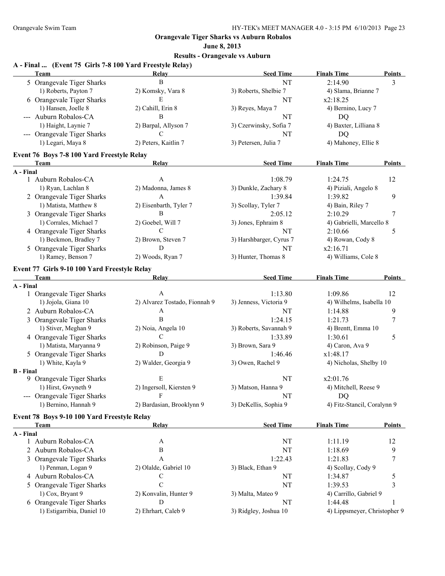#### **June 8, 2013**

#### **Results - Orangevale vs Auburn**

#### **A - Final ... (Event 75 Girls 7-8 100 Yard Freestyle Relay) Team Relay Seed Time Finals Time Points** 5 Orangevale Tiger Sharks B B NT 2:14.90 3 1) Roberts, Payton 7 2) Komsky, Vara 8 3) Roberts, Shelbie 7 4) Slama, Brianne 7 6 Orangevale Tiger Sharks E E NT  $x2:18.25$ 1) Hansen, Joelle 8 2) Cahill, Erin 8 3) Reyes, Maya 7 4) Bernino, Lucy 7 --- Auburn Robalos-CA B NT DQ 1) Haight, Laynie 7 2) Barpal, Allyson 7 3) Czerwinsky, Sofia 7 4) Baxter, Lilliana 8 --- Orangevale Tiger Sharks C NT DQ 1) Legari, Maya 8 2) Peters, Kaitlin 7 3) Petersen, Julia 7 4) Mahoney, Ellie 8 **Event 76 Boys 7-8 100 Yard Freestyle Relay Team Relay Seed Time Finals Time Points A - Final** 1 Auburn Robalos-CA A 1:08.79 1:24.75 12 1) Ryan, Lachlan 8 2) Madonna, James 8 3) Dunkle, Zachary 8 4) Piziali, Angelo 8 2 Orangevale Tiger Sharks A 1:39.84 1:39.82 9 1) Matista, Matthew 8 2) Eisenbarth, Tyler 7 3) Scollay, Tyler 7 4) Bain, Riley 7 3 Orangevale Tiger Sharks B 2:05.12 2:10.29 7 1) Corrales, Michael 7 2) Goebel, Will 7 3) Jones, Ephraim 8 4) Gabrielli, Marcello 8 4 Orangevale Tiger Sharks C C 2:10.66 5 1) Beckmon, Bradley 7 2) Brown, Steven 7 3) Harshbarger, Cyrus 7 4) Rowan, Cody 8 5 Orangevale Tiger Sharks D D NT  $x2:16.71$ 1) Ramey, Benson 7 2) Woods, Ryan 7 3) Hunter, Thomas 8 4) Williams, Cole 8 **Event 77 Girls 9-10 100 Yard Freestyle Relay Team Relay Seed Time Finals Time Points A - Final** 1 Orangevale Tiger Sharks A 1:13.80 1:09.86 12 1) Jojola, Giana 10 2) Alvarez Tostado, Fionnah 9 3) Jenness, Victoria 9 4) Wilhelms, Isabella 10 2 Auburn Robalos-CA A A NT 1:14.88 9 3 Orangevale Tiger Sharks B 1:24.15 1:21.73 7 1) Stiver, Meghan 9 2) Noia, Angela 10 3) Roberts, Savannah 9 4) Brentt, Emma 10 4 Orangevale Tiger Sharks C C 1:33.89 1:30.61 5 1) Matista, Maryanna 9 2) Robinson, Paige 9 3) Brown, Sara 9 4) Caron, Ava 9 5 Orangevale Tiger Sharks D 1:46.46  $x1:48.17$ 1) White, Kayla 9 2) Walder, Georgia 9 3) Owen, Rachel 9 4) Nicholas, Shelby 10 **B - Final** 9 Orangevale Tiger Sharks E E NT  $x2:01.76$ 1) Hirst, Gwyneth 9 2) Ingersoll, Kiersten 9 3) Matson, Hanna 9 4) Mitchell, Reese 9 --- Orangevale Tiger Sharks F NT NT DQ 1) Bernino, Hannah 9 2) Bardasian, Brooklynn 9 3) DeKellis, Sophia 9 4) Fitz-Stancil, Coralynn 9 **Event 78 Boys 9-10 100 Yard Freestyle Relay Team Relay Seed Time Finals Time Points A - Final** 1 Auburn Robalos-CA A NT 1:11.19 12 2 Auburn Robalos-CA B B NT 1:18.69 9 3 Orangevale Tiger Sharks A 1:22.43 1:21.83 7 1) Penman, Logan 9 2) Olalde, Gabriel 10 3) Black, Ethan 9 4) Scollay, Cody 9 4 Auburn Robalos-CA C C NT 1:34.87 5 5 Orangevale Tiger Sharks C NT 1:39.53 3 1) Cox, Bryant 9 2) Konvalin, Hunter 9 3) Malta, Mateo 9 4) Carrillo, Gabriel 9 6 Orangevale Tiger Sharks D D 1:44.48 1 1) Estigarribia, Daniel 10 2) Ehrhart, Caleb 9 3) Ridgley, Joshua 10 4) Lippsmeyer, Christopher 9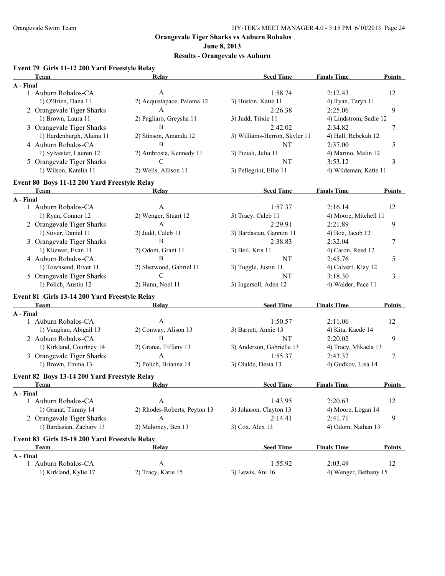**June 8, 2013**

## **Results - Orangevale vs Auburn**

### **Event 79 Girls 11-12 200 Yard Freestyle Relay**

| Team                                          | Relay                        | <b>Seed Time</b>              | <b>Finals Time</b>     | <b>Points</b> |
|-----------------------------------------------|------------------------------|-------------------------------|------------------------|---------------|
| A - Final                                     |                              |                               |                        |               |
| 1 Auburn Robalos-CA                           | $\boldsymbol{A}$             | 1:58.74                       | 2:12.43                | 12            |
| 1) O'Brien, Dana 11                           | 2) Acquistapace, Paloma 12   | 3) Huston, Katie 11           | 4) Ryan, Taryn 11      |               |
| 2 Orangevale Tiger Sharks                     | A                            | 2:26.38                       | 2:25.06                | 9             |
| 1) Brown, Laura 11                            | 2) Pagliaro, Greysha 11      | 3) Judd, Trixie 11            | 4) Lindstrom, Sadie 12 |               |
| 3 Orangevale Tiger Sharks                     | B                            | 2:42.02                       | 2:34.82                | 7             |
| 1) Hardenburgh, Alaina 11                     | 2) Stinson, Amanda 12        | 3) Williams-Herron, Skyler 11 | 4) Hall, Rebekah 12    |               |
| 4 Auburn Robalos-CA                           | $\, {\bf B}$                 | NT                            | 2:37.00                | 5             |
| 1) Sylvester, Lauren 12                       | 2) Ambrosia, Kennedy 11      | 3) Piziali, Julia 11          | 4) Marino, Malin 12    |               |
| 5 Orangevale Tiger Sharks                     | $\mathcal{C}$                | NT                            | 3:53.12                | 3             |
| 1) Wilson, Katelin 11                         | 2) Wells, Allison 11         | 3) Pellegrini, Ellie 11       | 4) Wildeman, Katie 11  |               |
| Event 80 Boys 11-12 200 Yard Freestyle Relay  |                              |                               |                        |               |
| Team                                          | Relay                        | <b>Seed Time</b>              | <b>Finals Time</b>     | Points        |
| A - Final                                     |                              |                               |                        |               |
| 1 Auburn Robalos-CA                           | $\mathbf{A}$                 | 1:57.37                       | 2:16.14                | 12            |
| 1) Ryan, Connor 12                            | 2) Wenger, Stuart 12         | 3) Tracy, Caleb 11            | 4) Moore, Mitchell 11  |               |
| 2 Orangevale Tiger Sharks                     | $\mathbf{A}$                 | 2:29.91                       | 2:21.89                | 9             |
| 1) Stiver, Daniel 11                          | 2) Judd, Caleb 11            | 3) Bardasian, Gannon 11       | $(4)$ Boe, Jacob 12    |               |
| 3 Orangevale Tiger Sharks                     | B                            | 2:38.83                       | 2:32.04                | 7             |
| 1) Kliewer, Evan 11                           | 2) Odom, Grant 11            | 3) Beil, Kris 11              | 4) Caron, Reed 12      |               |
| 4 Auburn Robalos-CA                           | B                            | NT                            | 2:45.76                | 5             |
| 1) Townsend, River 11                         | 2) Sherwood, Gabriel 11      | 3) Tuggle, Justin 11          | 4) Calvert, Klay 12    |               |
| 5 Orangevale Tiger Sharks                     | $\mathcal{C}$                | NT                            | 3:18.30                | 3             |
| 1) Polich, Austin 12                          | 2) Hann, Noel 11             | 3) Ingersoll, Aden 12         | 4) Walder, Pace 11     |               |
| Event 81 Girls 13-14 200 Yard Freestyle Relay |                              |                               |                        |               |
| Team                                          | Relay                        | <b>Seed Time</b>              | <b>Finals Time</b>     | <b>Points</b> |
| A - Final                                     |                              |                               |                        |               |
| 1 Auburn Robalos-CA                           | $\mathbf{A}$                 | 1:50.57                       | 2:11.06                | 12            |
| 1) Vaughan, Abigail 13                        | 2) Conway, Alison 13         | 3) Barrett, Annie 13          | 4) Kita, Kaede 14      |               |
| 2 Auburn Robalos-CA                           | B                            | NT                            | 2:20.02                | 9             |
| 1) Kirkland, Courtney 14                      | 2) Granat, Tiffany 13        | 3) Anderson, Gabrielle 13     | 4) Tracy, Mikaela 13   |               |
| 3 Orangevale Tiger Sharks                     | A                            | 1:55.37                       | 2:43.32                | 7             |
| 1) Brown, Emma 13                             | 2) Polich, Brianna 14        | 3) Olalde, Desia 13           | 4) Gudkov, Lisa 14     |               |
| Event 82 Boys 13-14 200 Yard Freestyle Relay  |                              |                               |                        |               |
| Team                                          | Relay                        | <b>Seed Time</b>              | <b>Finals Time</b>     | Points        |
| A - Final                                     |                              |                               |                        |               |
| 1 Auburn Robalos-CA                           | $\mathsf{A}$                 | 1:43.95                       | 2:20.63                | 12            |
| 1) Granat, Timmy 14                           | 2) Rhodes-Roberts, Peyton 13 | 3) Johnson, Clayton 13        | 4) Moore, Logan 14     |               |
| 2 Orangevale Tiger Sharks                     | A                            | 2:14.41                       | 2:41.71                | 9             |
| 1) Bardasian, Zachary 13                      | 2) Mahoney, Ben 13           | 3) Cox, Alex 13               | 4) Odom, Nathan 13     |               |
| Event 83 Girls 15-18 200 Yard Freestyle Relay |                              |                               |                        |               |
| Team                                          | Relay                        | <b>Seed Time</b>              | <b>Finals Time</b>     | <b>Points</b> |
| A - Final                                     |                              |                               |                        |               |
| 1 Auburn Robalos-CA                           | $\mathbf{A}$                 | 1:55.92                       | 2:03.49                | 12            |
| 1) Kirkland, Kylie 17                         | 2) Tracy, Katie 15           | 3) Lewis, Ani 16              | 4) Wenger, Bethany 15  |               |